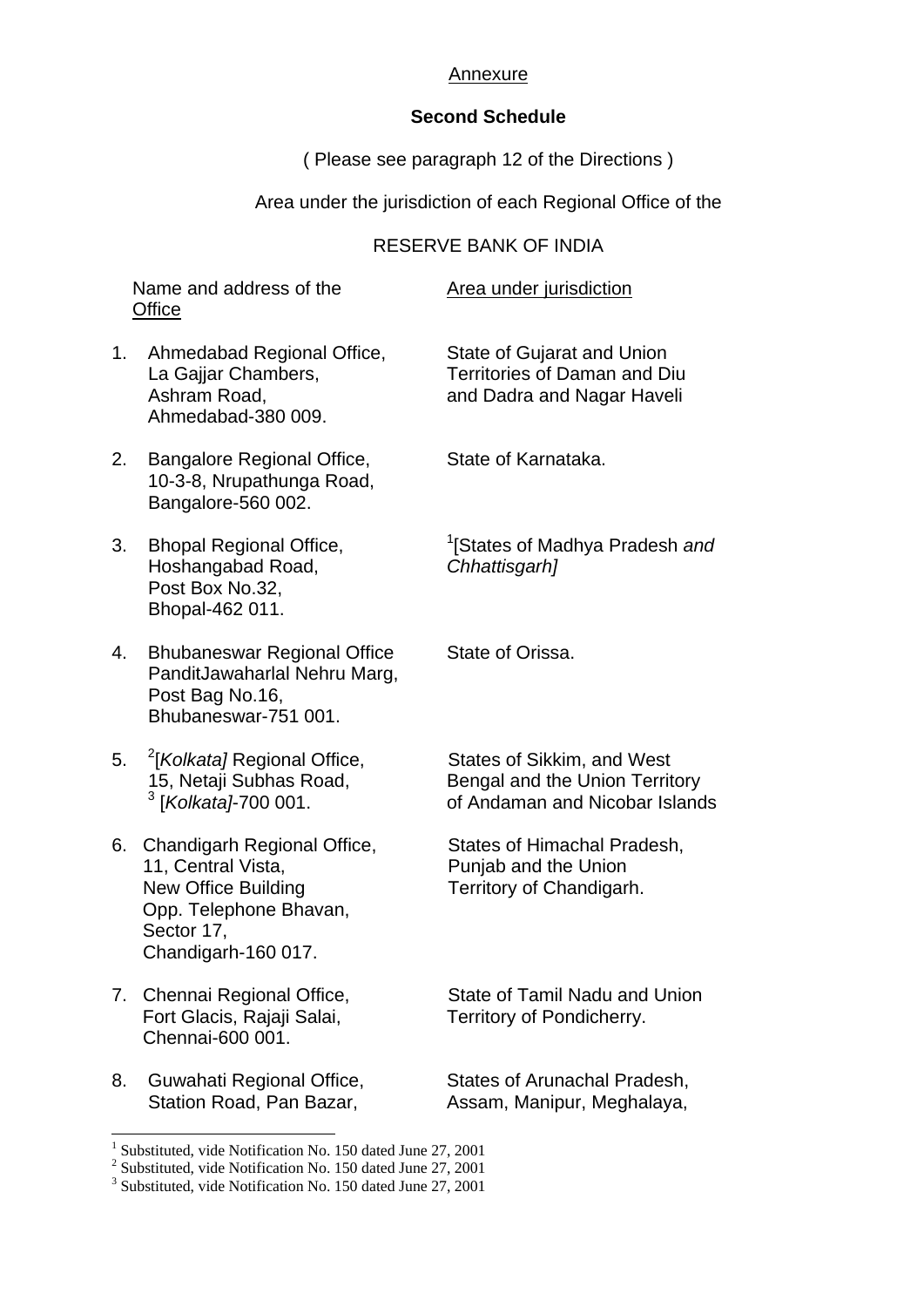## Annexure

## **Second Schedule**

( Please see paragraph 12 of the Directions )

Area under the jurisdiction of each Regional Office of the

## RESERVE BANK OF INDIA

Name and address of the Area under jurisdiction **Office** 

- 1. Ahmedabad Regional Office, State of Gujarat and Union Ahmedabad-380 009.
- 2. Bangalore Regional Office, State of Karnataka. 10-3-8, Nrupathunga Road, Bangalore-560 002.
- 3. Bhopal Regional Office, <sup>1</sup> Hoshangabad Road, *Chhattisgarh]*  Post Box No.32, Bhopal-462 011.
- 4. Bhubaneswar Regional Office State of Orissa. PanditJawaharlal Nehru Marg, Post Bag No.16, Bhubaneswar-751 001.
- 5. <sup>2</sup>[Kolkata] Regional Office.  $3$ [Kolkata]-700 001.
- 6. Chandigarh Regional Office, States of Himachal Pradesh, 11, Central Vista, **Punjab and the Union** New Office Building Territory of Chandigarh. Opp. Telephone Bhavan, Sector 17, Chandigarh-160 017.
- Fort Glacis, Rajaji Salai, Territory of Pondicherry. Chennai-600 001.
- 8. Guwahati Regional Office, States of Arunachal Pradesh,

-

La Gaijar Chambers, Territories of Daman and Diu Ashram Road, and Dadra and Nagar Haveli

[States of Madhya Pradesh *and*

**States of Sikkim, and West** 15, Netaji Subhas Road, Bengal and the Union Territory [*Kolkata]*-700 001. of Andaman and Nicobar Islands

7. Chennai Regional Office, State of Tamil Nadu and Union

Station Road, Pan Bazar, Assam, Manipur, Meghalaya,

<sup>1</sup> Substituted, vide Notification No. 150 dated June 27, 2001

<sup>&</sup>lt;sup>2</sup> Substituted, vide Notification No. 150 dated June 27, 2001

<sup>&</sup>lt;sup>3</sup> Substituted, vide Notification No. 150 dated June 27, 2001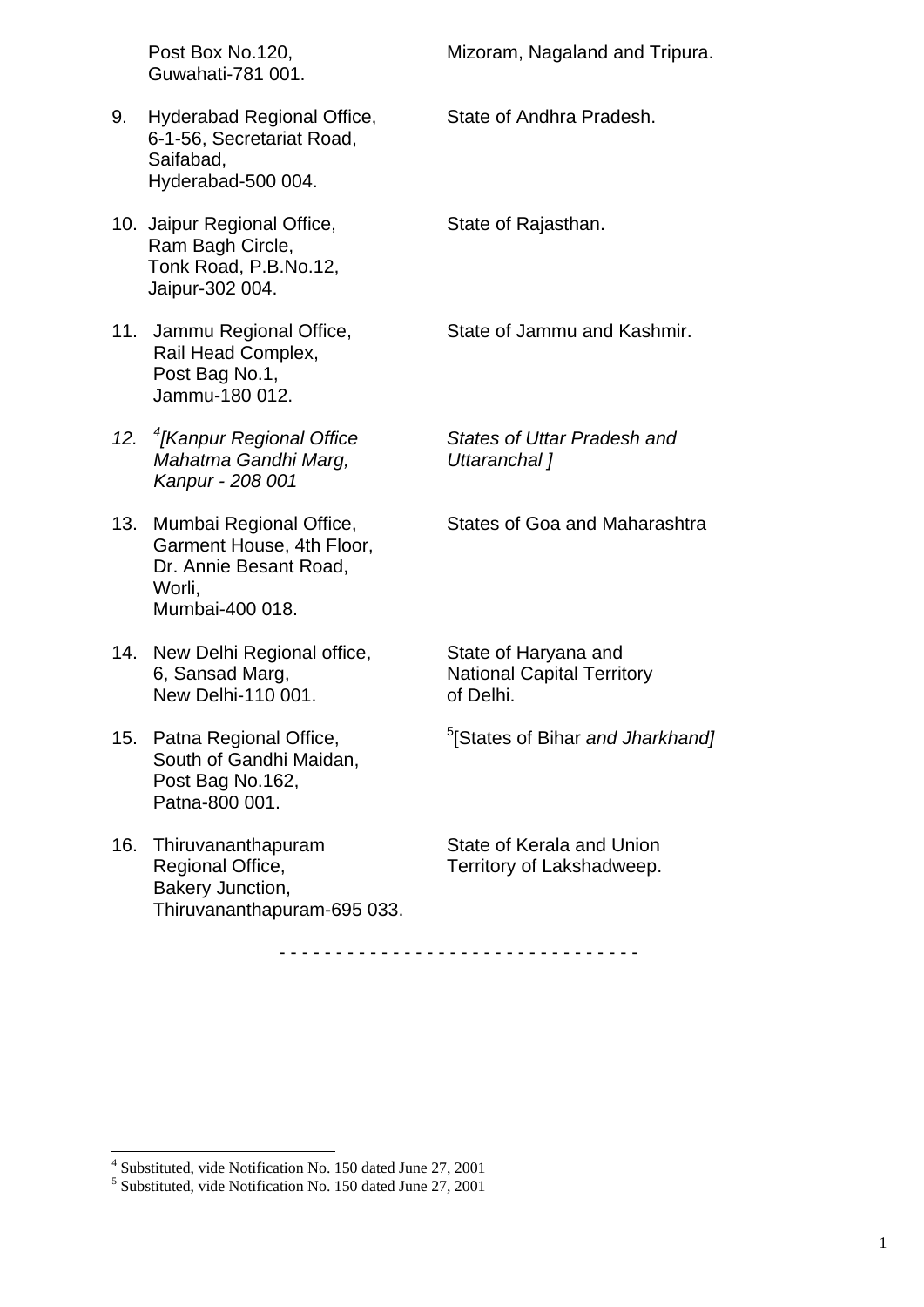|     | Post Box No.120,<br>Guwahati-781 001.                                                                       | Mizoram, Nagaland and Tripura.                                         |
|-----|-------------------------------------------------------------------------------------------------------------|------------------------------------------------------------------------|
| 9.  | Hyderabad Regional Office,<br>6-1-56, Secretariat Road,<br>Saifabad,<br>Hyderabad-500 004.                  | State of Andhra Pradesh.                                               |
|     | 10. Jaipur Regional Office,<br>Ram Bagh Circle,<br>Tonk Road, P.B.No.12,<br>Jaipur-302 004.                 | State of Rajasthan.                                                    |
|     | 11. Jammu Regional Office,<br>Rail Head Complex,<br>Post Bag No.1,<br>Jammu-180 012.                        | State of Jammu and Kashmir.                                            |
|     | 12. <sup>4</sup> [Kanpur Regional Office<br>Mahatma Gandhi Marg,<br>Kanpur - 208 001                        | States of Uttar Pradesh and<br>Uttaranchal 1                           |
| 13. | Mumbai Regional Office,<br>Garment House, 4th Floor,<br>Dr. Annie Besant Road,<br>Worli,<br>Mumbai-400 018. | States of Goa and Maharashtra                                          |
| 14. | New Delhi Regional office,<br>6, Sansad Marg,<br>New Delhi-110 001.                                         | State of Haryana and<br><b>National Capital Territory</b><br>of Delhi. |
| 15. | Patna Regional Office,<br>South of Gandhi Maidan,<br>Post Bag No.162,<br>Patna-800 001.                     | <sup>5</sup> [States of Bihar and Jharkhand]                           |
| 16. | Thiruvananthapuram<br>Regional Office,<br>Bakery Junction,<br>Thiruvananthapuram-695 033.                   | State of Kerala and Union<br>Territory of Lakshadweep.                 |
|     |                                                                                                             |                                                                        |

- - - - - - - - - - - - - - - - - - - - - - - - - - - - - - - -

 4 Substituted, vide Notification No. 150 dated June 27, 2001 5 Substituted, vide Notification No. 150 dated June 27, 2001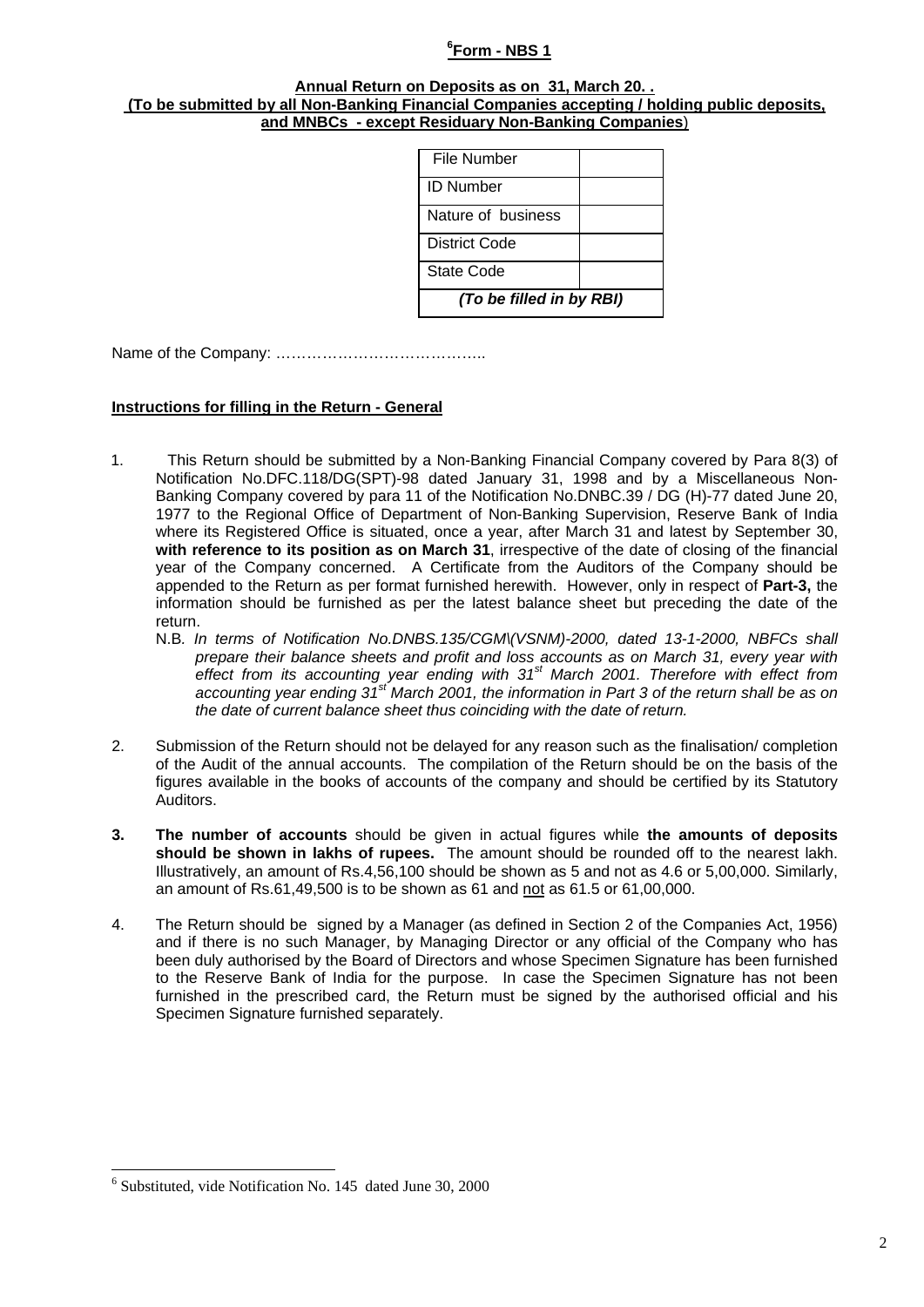### **6 Form - NBS 1**

#### **Annual Return on Deposits as on 31, March 20. . (To be submitted by all Non-Banking Financial Companies accepting / holding public deposits, and MNBCs - except Residuary Non-Banking Companies**)

| File Number              |  |  |
|--------------------------|--|--|
| <b>ID Number</b>         |  |  |
| Nature of business       |  |  |
| District Code            |  |  |
| State Code               |  |  |
| (To be filled in by RBI) |  |  |

Name of the Company: …………………………………..

#### **Instructions for filling in the Return - General**

- 1. This Return should be submitted by a Non-Banking Financial Company covered by Para 8(3) of Notification No.DFC.118/DG(SPT)-98 dated January 31, 1998 and by a Miscellaneous Non-Banking Company covered by para 11 of the Notification No.DNBC.39 / DG (H)-77 dated June 20, 1977 to the Regional Office of Department of Non-Banking Supervision, Reserve Bank of India where its Registered Office is situated, once a year, after March 31 and latest by September 30, **with reference to its position as on March 31**, irrespective of the date of closing of the financial year of the Company concerned. A Certificate from the Auditors of the Company should be appended to the Return as per format furnished herewith. However, only in respect of **Part-3,** the information should be furnished as per the latest balance sheet but preceding the date of the return.
	- N.B*. In terms of Notification No.DNBS.135/CGM\(VSNM)-2000, dated 13-1-2000, NBFCs shall prepare their balance sheets and profit and loss accounts as on March 31, every year with effect from its accounting year ending with 31st March 2001. Therefore with effect from accounting year ending 31st March 2001, the information in Part 3 of the return shall be as on the date of current balance sheet thus coinciding with the date of return.*
- 2. Submission of the Return should not be delayed for any reason such as the finalisation/ completion of the Audit of the annual accounts. The compilation of the Return should be on the basis of the figures available in the books of accounts of the company and should be certified by its Statutory Auditors.
- **3. The number of accounts** should be given in actual figures while **the amounts of deposits should be shown in lakhs of rupees.** The amount should be rounded off to the nearest lakh. Illustratively, an amount of Rs.4,56,100 should be shown as 5 and not as 4.6 or 5,00,000. Similarly, an amount of Rs.61,49,500 is to be shown as 61 and not as 61.5 or 61,00,000.
- 4. The Return should be signed by a Manager (as defined in Section 2 of the Companies Act, 1956) and if there is no such Manager, by Managing Director or any official of the Company who has been duly authorised by the Board of Directors and whose Specimen Signature has been furnished to the Reserve Bank of India for the purpose. In case the Specimen Signature has not been furnished in the prescribed card, the Return must be signed by the authorised official and his Specimen Signature furnished separately.

-

<sup>6</sup> Substituted, vide Notification No. 145 dated June 30, 2000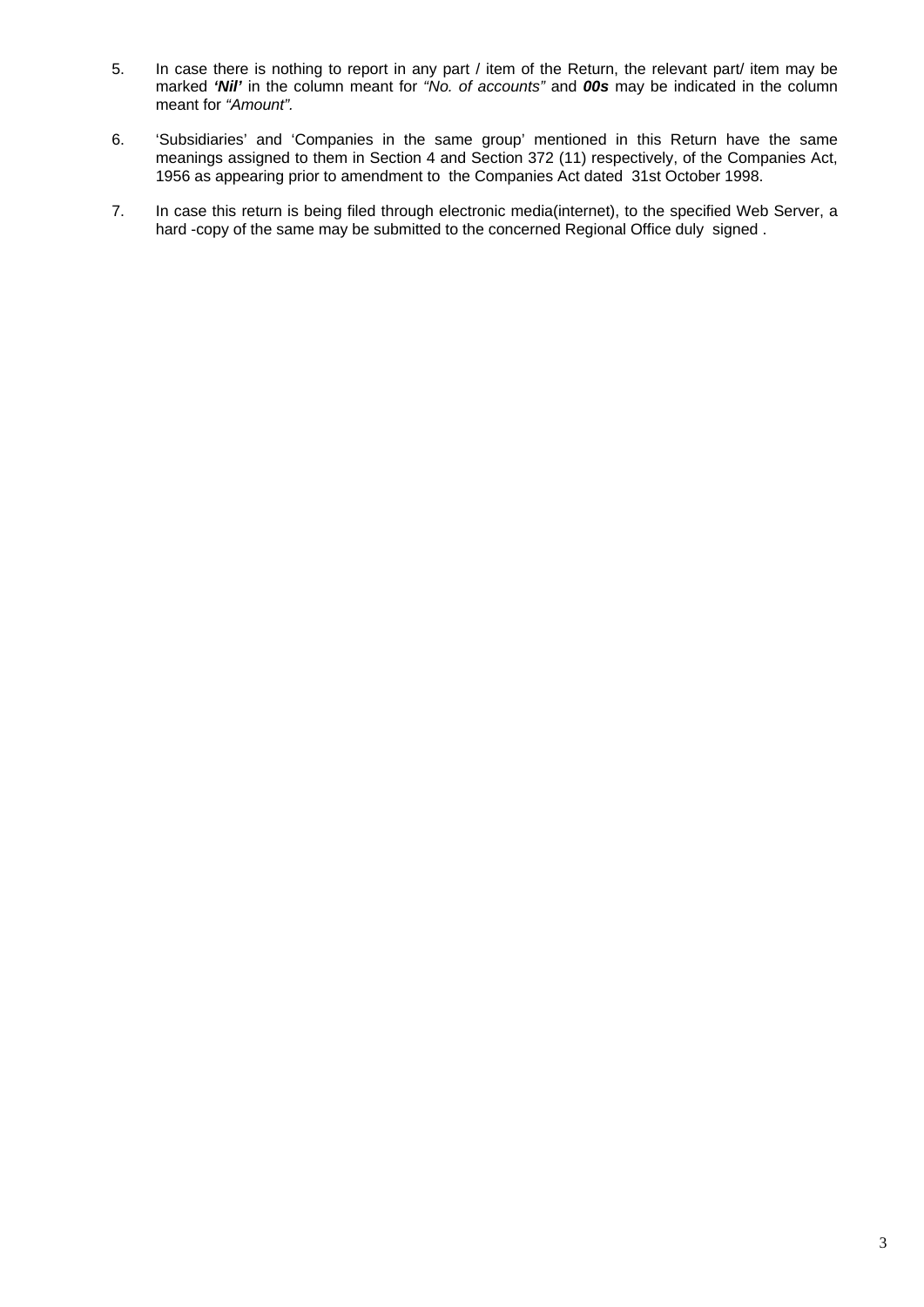- 5. In case there is nothing to report in any part / item of the Return, the relevant part/ item may be marked *'Nil'* in the column meant for *"No. of accounts"* and *00s* may be indicated in the column meant for *"Amount".*
- 6. 'Subsidiaries' and 'Companies in the same group' mentioned in this Return have the same meanings assigned to them in Section 4 and Section 372 (11) respectively, of the Companies Act, 1956 as appearing prior to amendment to the Companies Act dated 31st October 1998.
- 7. In case this return is being filed through electronic media(internet), to the specified Web Server, a hard -copy of the same may be submitted to the concerned Regional Office duly signed.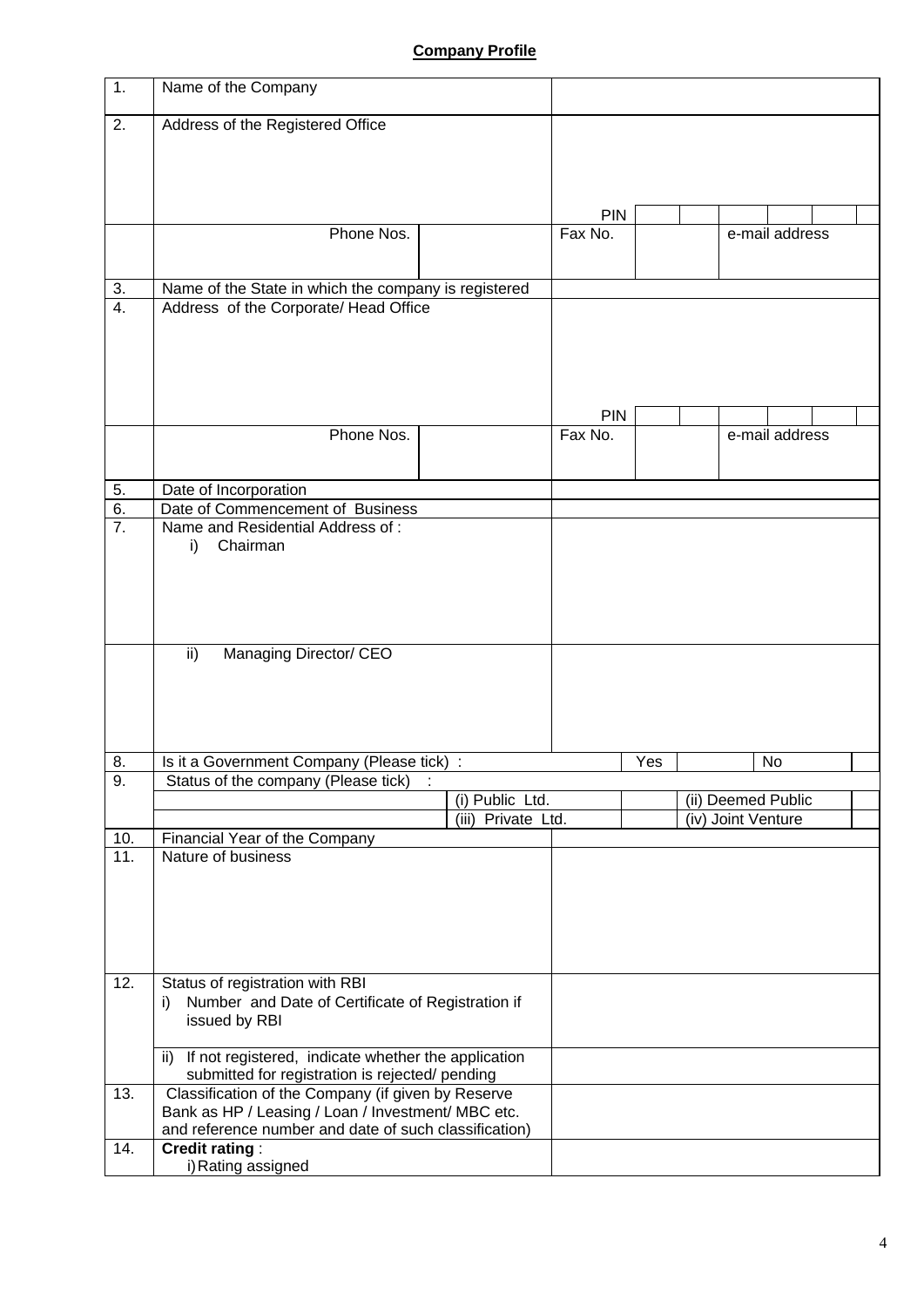## **Company Profile**

| 1.                     | Name of the Company                                                                                   |                      |            |     |                    |  |
|------------------------|-------------------------------------------------------------------------------------------------------|----------------------|------------|-----|--------------------|--|
| 2.                     | Address of the Registered Office                                                                      |                      |            |     |                    |  |
|                        |                                                                                                       |                      |            |     |                    |  |
|                        |                                                                                                       |                      |            |     |                    |  |
|                        |                                                                                                       |                      |            |     |                    |  |
|                        |                                                                                                       |                      | <b>PIN</b> |     |                    |  |
|                        | Phone Nos.                                                                                            |                      | Fax No.    |     | e-mail address     |  |
|                        |                                                                                                       |                      |            |     |                    |  |
| 3.<br>$\overline{4}$ . | Name of the State in which the company is registered                                                  |                      |            |     |                    |  |
|                        | Address of the Corporate/ Head Office                                                                 |                      |            |     |                    |  |
|                        |                                                                                                       |                      |            |     |                    |  |
|                        |                                                                                                       |                      |            |     |                    |  |
|                        |                                                                                                       |                      |            |     |                    |  |
|                        |                                                                                                       |                      | PIN        |     |                    |  |
|                        | Phone Nos.                                                                                            |                      | Fax No.    |     | e-mail address     |  |
|                        |                                                                                                       |                      |            |     |                    |  |
| 5.                     | Date of Incorporation                                                                                 |                      |            |     |                    |  |
| 6.<br>$\overline{7}$ . | Date of Commencement of Business<br>Name and Residential Address of:                                  |                      |            |     |                    |  |
|                        | Chairman<br>i)                                                                                        |                      |            |     |                    |  |
|                        |                                                                                                       |                      |            |     |                    |  |
|                        |                                                                                                       |                      |            |     |                    |  |
|                        |                                                                                                       |                      |            |     |                    |  |
|                        | ii)<br>Managing Director/ CEO                                                                         |                      |            |     |                    |  |
|                        |                                                                                                       |                      |            |     |                    |  |
|                        |                                                                                                       |                      |            |     |                    |  |
|                        |                                                                                                       |                      |            |     |                    |  |
|                        |                                                                                                       |                      |            |     | No                 |  |
| 8.<br>9.               | Is it a Government Company (Please tick) :<br>Status of the company (Please tick)                     |                      |            | Yes |                    |  |
|                        |                                                                                                       | (i) Public Ltd.      |            |     | (ii) Deemed Public |  |
|                        |                                                                                                       | $(iii)$ Private Ltd. |            |     | (iv) Joint Venture |  |
| 10.<br>11.             | Financial Year of the Company<br>Nature of business                                                   |                      |            |     |                    |  |
|                        |                                                                                                       |                      |            |     |                    |  |
|                        |                                                                                                       |                      |            |     |                    |  |
|                        |                                                                                                       |                      |            |     |                    |  |
|                        |                                                                                                       |                      |            |     |                    |  |
| 12.                    | Status of registration with RBI                                                                       |                      |            |     |                    |  |
|                        | Number and Date of Certificate of Registration if<br>i)                                               |                      |            |     |                    |  |
|                        | issued by RBI                                                                                         |                      |            |     |                    |  |
|                        | ii) If not registered, indicate whether the application                                               |                      |            |     |                    |  |
| 13.                    | submitted for registration is rejected/ pending<br>Classification of the Company (if given by Reserve |                      |            |     |                    |  |
|                        | Bank as HP / Leasing / Loan / Investment/ MBC etc.                                                    |                      |            |     |                    |  |
|                        | and reference number and date of such classification)                                                 |                      |            |     |                    |  |
| 14.                    | <b>Credit rating:</b><br>i) Rating assigned                                                           |                      |            |     |                    |  |
|                        |                                                                                                       |                      |            |     |                    |  |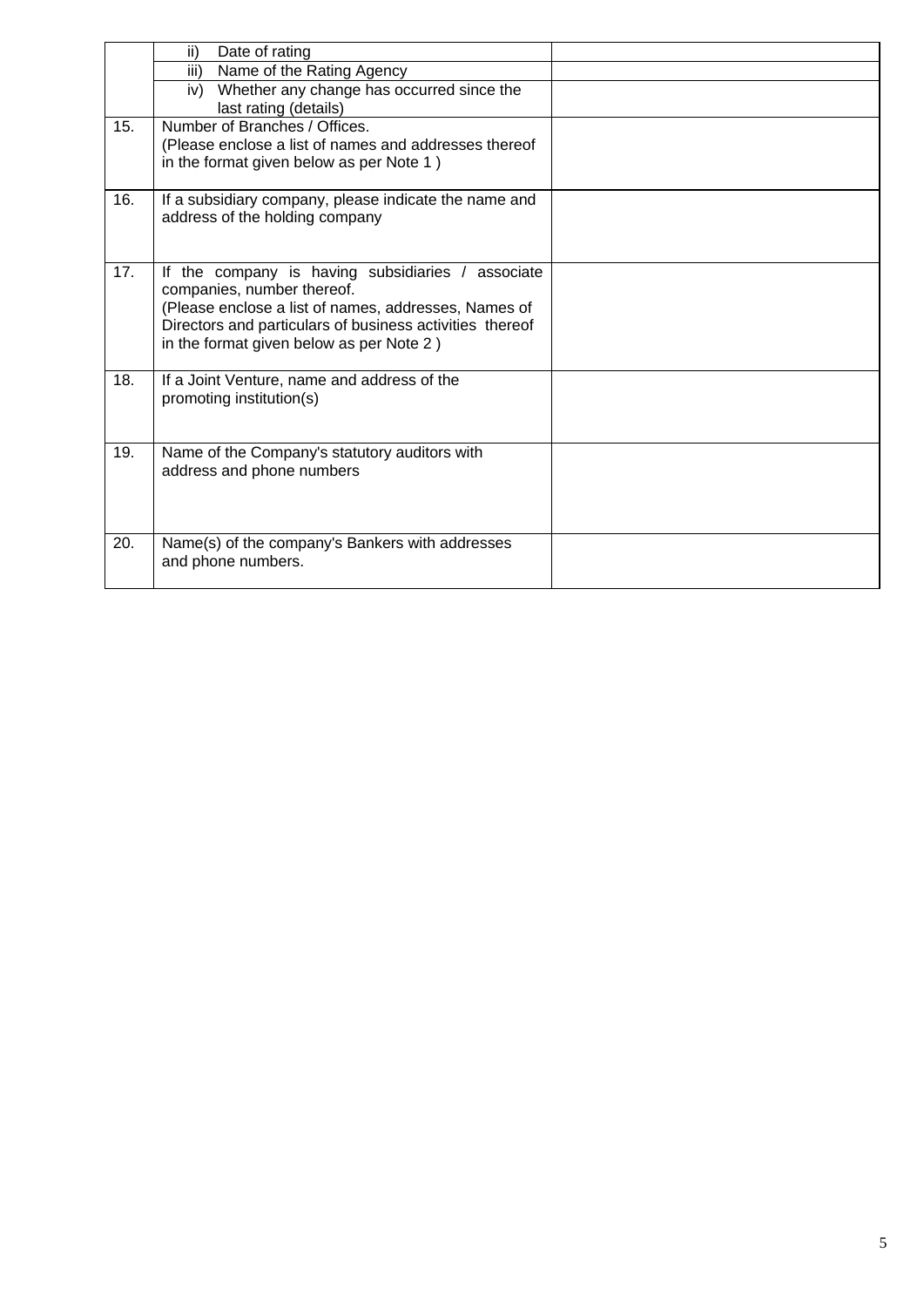|     | ii)<br>Date of rating                                                                             |  |
|-----|---------------------------------------------------------------------------------------------------|--|
|     | Name of the Rating Agency<br>iii)                                                                 |  |
|     | Whether any change has occurred since the<br>iv)<br>last rating (details)                         |  |
| 15. | Number of Branches / Offices.                                                                     |  |
|     | (Please enclose a list of names and addresses thereof<br>in the format given below as per Note 1) |  |
|     |                                                                                                   |  |
| 16. | If a subsidiary company, please indicate the name and                                             |  |
|     | address of the holding company                                                                    |  |
|     |                                                                                                   |  |
| 17. | If the company is having subsidiaries / associate                                                 |  |
|     | companies, number thereof.<br>(Please enclose a list of names, addresses, Names of                |  |
|     | Directors and particulars of business activities thereof                                          |  |
|     | in the format given below as per Note 2)                                                          |  |
|     |                                                                                                   |  |
| 18. | If a Joint Venture, name and address of the                                                       |  |
|     | promoting institution(s)                                                                          |  |
|     |                                                                                                   |  |
| 19. | Name of the Company's statutory auditors with                                                     |  |
|     | address and phone numbers                                                                         |  |
|     |                                                                                                   |  |
|     |                                                                                                   |  |
| 20. | Name(s) of the company's Bankers with addresses                                                   |  |
|     | and phone numbers.                                                                                |  |
|     |                                                                                                   |  |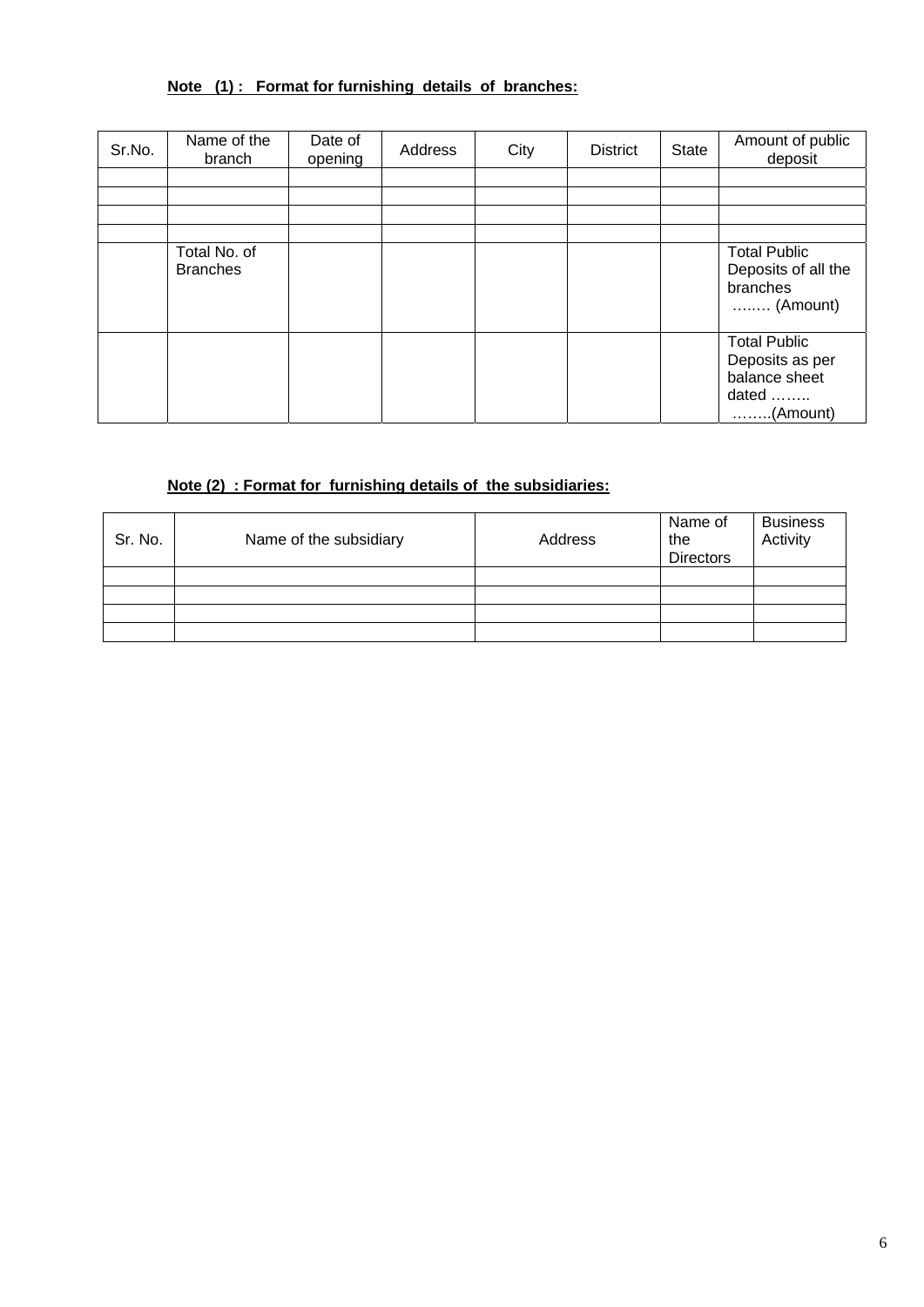# **Note (1) : Format for furnishing details of branches:**

| Sr.No. | Name of the<br>branch           | Date of<br>opening | Address | City | <b>District</b> | <b>State</b> | Amount of public<br>deposit                                                           |
|--------|---------------------------------|--------------------|---------|------|-----------------|--------------|---------------------------------------------------------------------------------------|
|        |                                 |                    |         |      |                 |              |                                                                                       |
|        |                                 |                    |         |      |                 |              |                                                                                       |
|        |                                 |                    |         |      |                 |              |                                                                                       |
|        |                                 |                    |         |      |                 |              |                                                                                       |
|        | Total No. of<br><b>Branches</b> |                    |         |      |                 |              | <b>Total Public</b><br>Deposits of all the<br>branches<br>$\ldots$ (Amount)           |
|        |                                 |                    |         |      |                 |              | <b>Total Public</b><br>Deposits as per<br>balance sheet<br>dated<br>$\ldots$ (Amount) |

## **Note (2) : Format for furnishing details of the subsidiaries:**

| Sr. No. | Name of the subsidiary | Address | Name of<br>the<br><b>Directors</b> | <b>Business</b><br>Activity |
|---------|------------------------|---------|------------------------------------|-----------------------------|
|         |                        |         |                                    |                             |
|         |                        |         |                                    |                             |
|         |                        |         |                                    |                             |
|         |                        |         |                                    |                             |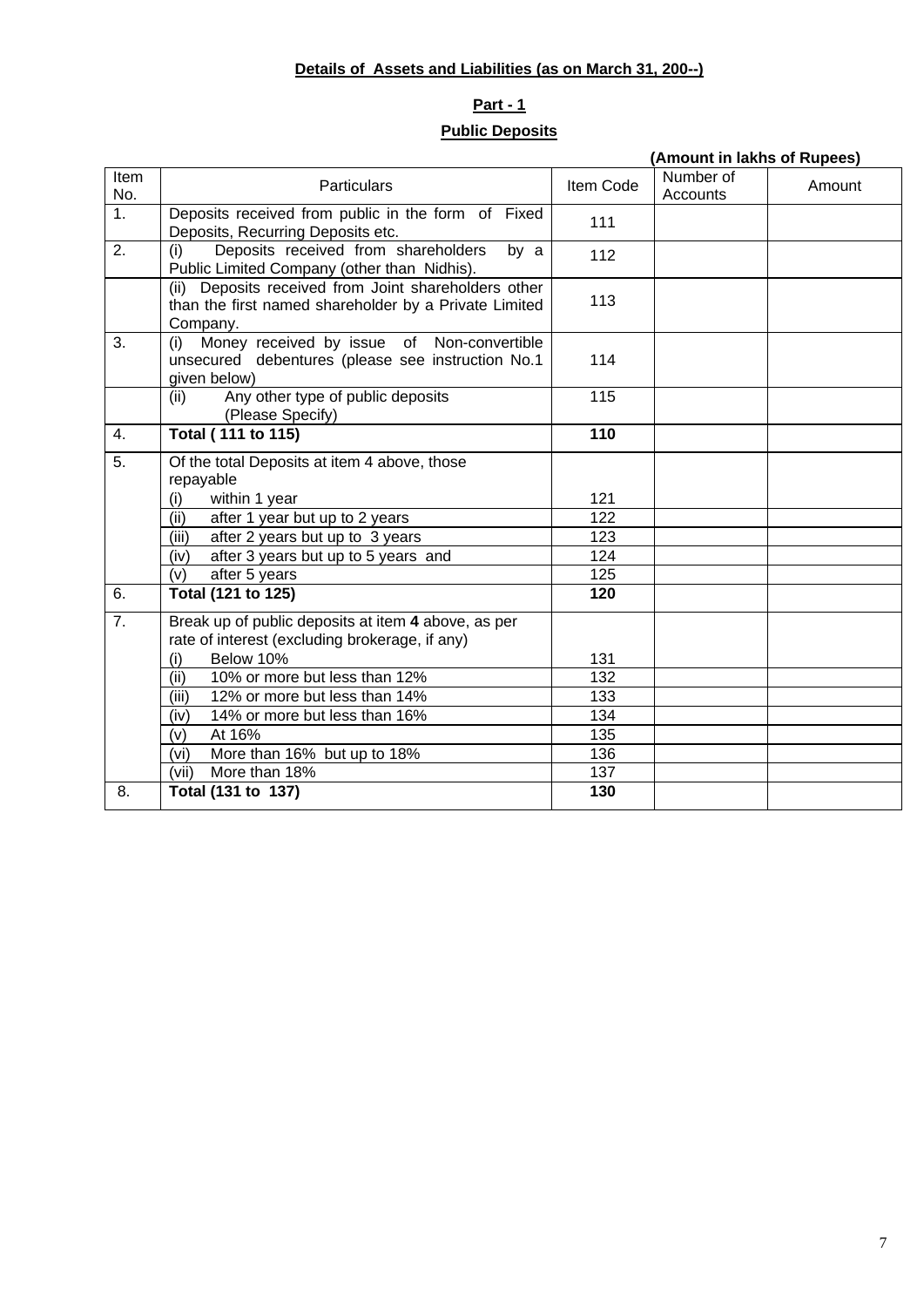## **Details of Assets and Liabilities (as on March 31, 200--)**

# **Part - 1 Public Deposits**

|                  |                                                                                                                           |           | (Amount in lakhs of Rupees) |        |
|------------------|---------------------------------------------------------------------------------------------------------------------------|-----------|-----------------------------|--------|
| Item<br>No.      | <b>Particulars</b>                                                                                                        | Item Code | Number of<br>Accounts       | Amount |
| 1 <sub>1</sub>   | Deposits received from public in the form of Fixed<br>Deposits, Recurring Deposits etc.                                   | 111       |                             |        |
| 2.               | Deposits received from shareholders<br>(i)<br>by a<br>Public Limited Company (other than Nidhis).                         | 112       |                             |        |
|                  | (ii) Deposits received from Joint shareholders other<br>than the first named shareholder by a Private Limited<br>Company. | 113       |                             |        |
| 3.               | Money received by issue of Non-convertible<br>(i)<br>unsecured debentures (please see instruction No.1<br>given below)    | 114       |                             |        |
|                  | Any other type of public deposits<br>(ii)<br>(Please Specify)                                                             | 115       |                             |        |
| 4.               | Total (111 to 115)                                                                                                        | 110       |                             |        |
| 5.               | Of the total Deposits at item 4 above, those<br>repayable                                                                 |           |                             |        |
|                  | (i)<br>within 1 year                                                                                                      | 121       |                             |        |
|                  | after 1 year but up to 2 years<br>(ii)                                                                                    | 122       |                             |        |
|                  | after 2 years but up to 3 years<br>(iii)                                                                                  | 123       |                             |        |
|                  | after 3 years but up to 5 years and<br>(iv)                                                                               | 124       |                             |        |
|                  | after 5 years<br>(v)                                                                                                      | 125       |                             |        |
| 6.               | Total (121 to 125)                                                                                                        | 120       |                             |        |
| $\overline{7}$ . | Break up of public deposits at item 4 above, as per<br>rate of interest (excluding brokerage, if any)                     |           |                             |        |
|                  | (i)<br>Below 10%                                                                                                          | 131       |                             |        |
|                  | 10% or more but less than 12%<br>(ii)                                                                                     | 132       |                             |        |
|                  | (iii)<br>12% or more but less than 14%                                                                                    | 133       |                             |        |
|                  | (iv)<br>14% or more but less than 16%                                                                                     | 134       |                             |        |
|                  | At 16%<br>(v)                                                                                                             | 135       |                             |        |
|                  | More than 16% but up to 18%<br>(vi)                                                                                       | 136       |                             |        |
|                  | More than 18%<br>(vii)                                                                                                    | 137       |                             |        |
| 8.               | Total (131 to 137)                                                                                                        | 130       |                             |        |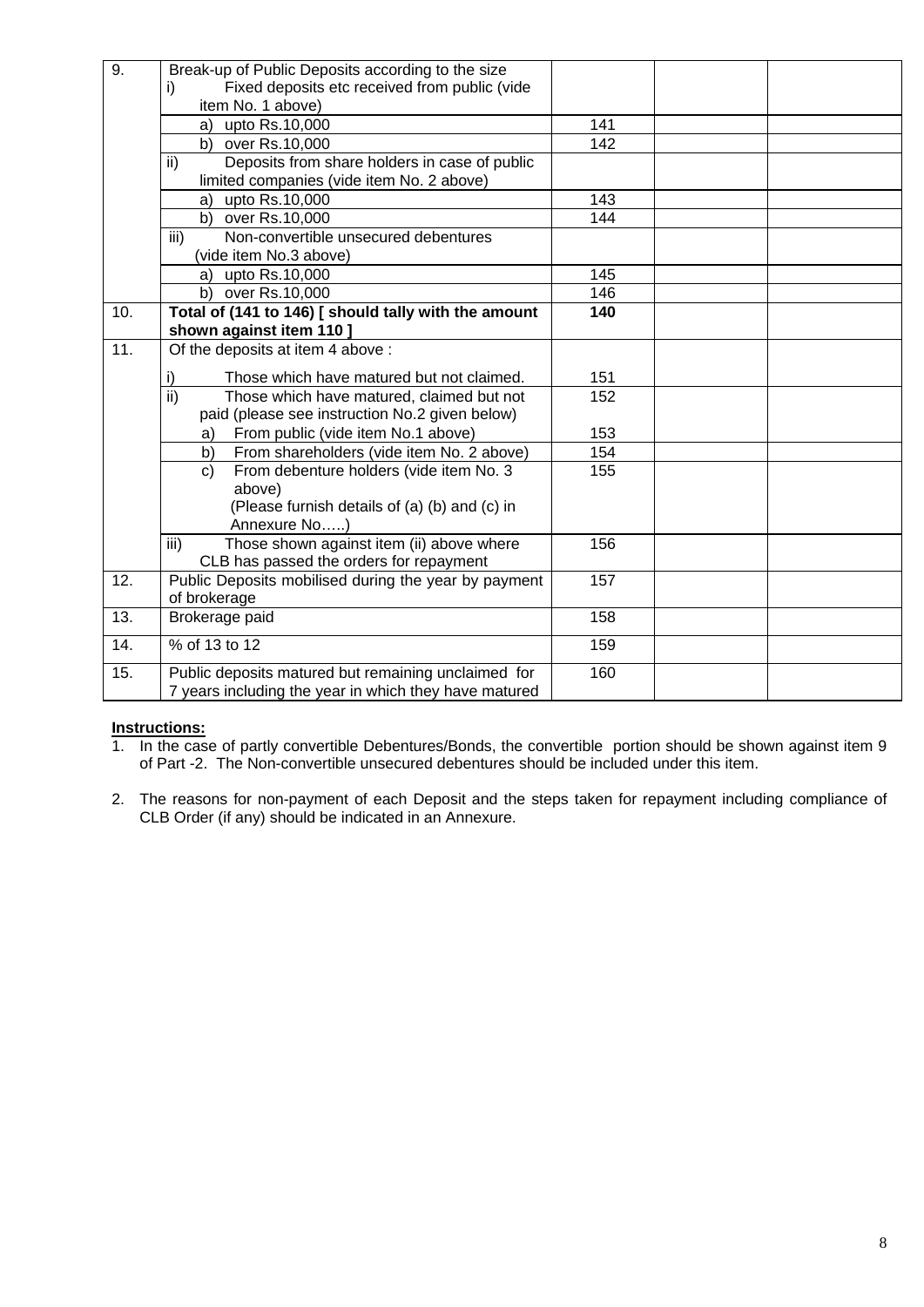| 9.                | Break-up of Public Deposits according to the size                     |     |  |
|-------------------|-----------------------------------------------------------------------|-----|--|
|                   | Fixed deposits etc received from public (vide<br>i)                   |     |  |
|                   | item No. 1 above)                                                     |     |  |
|                   | a) upto Rs.10,000                                                     | 141 |  |
|                   | b) over Rs.10,000                                                     | 142 |  |
|                   | Deposits from share holders in case of public<br>ii)                  |     |  |
|                   | limited companies (vide item No. 2 above)                             |     |  |
|                   | upto Rs.10,000<br>a)                                                  | 143 |  |
|                   | b) over Rs.10,000                                                     | 144 |  |
|                   | iii)<br>Non-convertible unsecured debentures                          |     |  |
|                   | (vide item No.3 above)                                                |     |  |
|                   | a) upto Rs.10,000                                                     | 145 |  |
|                   | b) over Rs.10,000                                                     | 146 |  |
| 10.               | Total of (141 to 146) [ should tally with the amount                  | 140 |  |
|                   | shown against item 110]                                               |     |  |
| $\overline{11}$ . | Of the deposits at item 4 above :                                     |     |  |
|                   | i)<br>Those which have matured but not claimed.                       | 151 |  |
|                   | $\overline{\mathsf{ii}}$<br>Those which have matured, claimed but not | 152 |  |
|                   | paid (please see instruction No.2 given below)                        |     |  |
|                   | From public (vide item No.1 above)<br>a)                              | 153 |  |
|                   | From shareholders (vide item No. 2 above)<br>b)                       | 154 |  |
|                   | From debenture holders (vide item No. 3<br>$\mathsf{C}$               | 155 |  |
|                   | above)                                                                |     |  |
|                   | (Please furnish details of (a) (b) and (c) in                         |     |  |
|                   | Annexure No)                                                          |     |  |
|                   | Those shown against item (ii) above where<br>iii)                     | 156 |  |
|                   | CLB has passed the orders for repayment                               |     |  |
| 12.               | Public Deposits mobilised during the year by payment                  | 157 |  |
|                   | of brokerage                                                          |     |  |
| 13.               | Brokerage paid                                                        | 158 |  |
| 14.               | % of 13 to 12                                                         | 159 |  |
| 15.               | Public deposits matured but remaining unclaimed for                   | 160 |  |
|                   | 7 years including the year in which they have matured                 |     |  |

## **Instructions:**

- 1. In the case of partly convertible Debentures/Bonds, the convertible portion should be shown against item 9 of Part -2. The Non-convertible unsecured debentures should be included under this item.
- 2. The reasons for non-payment of each Deposit and the steps taken for repayment including compliance of CLB Order (if any) should be indicated in an Annexure.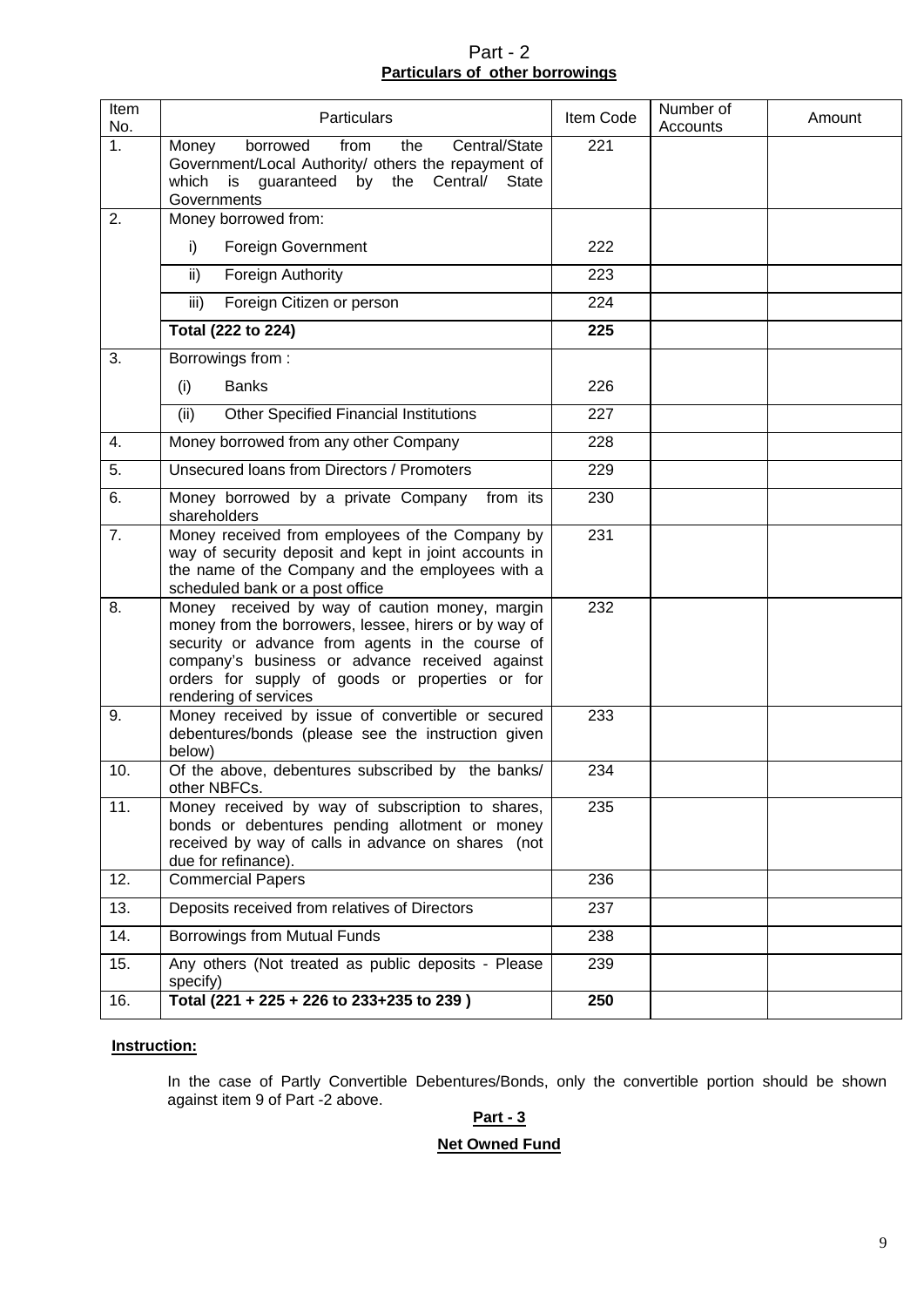## Part - 2 **Particulars of other borrowings**

| <b>Item</b><br>No. | Particulars                                                                                                                                                                                                                                                                               | Item Code | Number of<br>Accounts | Amount |
|--------------------|-------------------------------------------------------------------------------------------------------------------------------------------------------------------------------------------------------------------------------------------------------------------------------------------|-----------|-----------------------|--------|
| 1 <sub>1</sub>     | Central/State<br>borrowed<br>from<br>the<br>Money<br>Government/Local Authority/ others the repayment of<br>which<br>guaranteed<br>by the<br>Central/<br><b>State</b><br>is<br>Governments                                                                                                | 221       |                       |        |
| 2.                 | Money borrowed from:                                                                                                                                                                                                                                                                      |           |                       |        |
|                    | <b>Foreign Government</b><br>i)                                                                                                                                                                                                                                                           | 222       |                       |        |
|                    | ii)<br><b>Foreign Authority</b>                                                                                                                                                                                                                                                           | 223       |                       |        |
|                    | Foreign Citizen or person<br>iii)                                                                                                                                                                                                                                                         | 224       |                       |        |
|                    | Total (222 to 224)                                                                                                                                                                                                                                                                        | 225       |                       |        |
| 3.                 | Borrowings from:                                                                                                                                                                                                                                                                          |           |                       |        |
|                    | <b>Banks</b><br>(i)                                                                                                                                                                                                                                                                       | 226       |                       |        |
|                    | <b>Other Specified Financial Institutions</b><br>(ii)                                                                                                                                                                                                                                     | 227       |                       |        |
| 4.                 | Money borrowed from any other Company                                                                                                                                                                                                                                                     | 228       |                       |        |
| 5.                 | Unsecured loans from Directors / Promoters                                                                                                                                                                                                                                                | 229       |                       |        |
| 6.                 | Money borrowed by a private Company<br>from its<br>shareholders                                                                                                                                                                                                                           | 230       |                       |        |
| 7.                 | Money received from employees of the Company by<br>way of security deposit and kept in joint accounts in<br>the name of the Company and the employees with a<br>scheduled bank or a post office                                                                                           | 231       |                       |        |
| 8.                 | Money received by way of caution money, margin<br>money from the borrowers, lessee, hirers or by way of<br>security or advance from agents in the course of<br>company's business or advance received against<br>orders for supply of goods or properties or for<br>rendering of services | 232       |                       |        |
| 9.                 | Money received by issue of convertible or secured<br>debentures/bonds (please see the instruction given<br>below)                                                                                                                                                                         | 233       |                       |        |
| 10.                | Of the above, debentures subscribed by the banks/<br>other NBFCs.                                                                                                                                                                                                                         | 234       |                       |        |
| 11.                | Money received by way of subscription to shares,<br>bonds or debentures pending allotment or money<br>received by way of calls in advance on shares (not<br>due for refinance).                                                                                                           | 235       |                       |        |
| 12.                | <b>Commercial Papers</b>                                                                                                                                                                                                                                                                  | 236       |                       |        |
| 13.                | Deposits received from relatives of Directors                                                                                                                                                                                                                                             | 237       |                       |        |
| 14.                | Borrowings from Mutual Funds                                                                                                                                                                                                                                                              | 238       |                       |        |
| 15.                | Any others (Not treated as public deposits - Please<br>specify)                                                                                                                                                                                                                           | 239       |                       |        |
| 16.                | Total (221 + 225 + 226 to 233+235 to 239)                                                                                                                                                                                                                                                 | 250       |                       |        |

### **Instruction:**

In the case of Partly Convertible Debentures/Bonds, only the convertible portion should be shown against item 9 of Part -2 above.

## **Part - 3**

### **Net Owned Fund**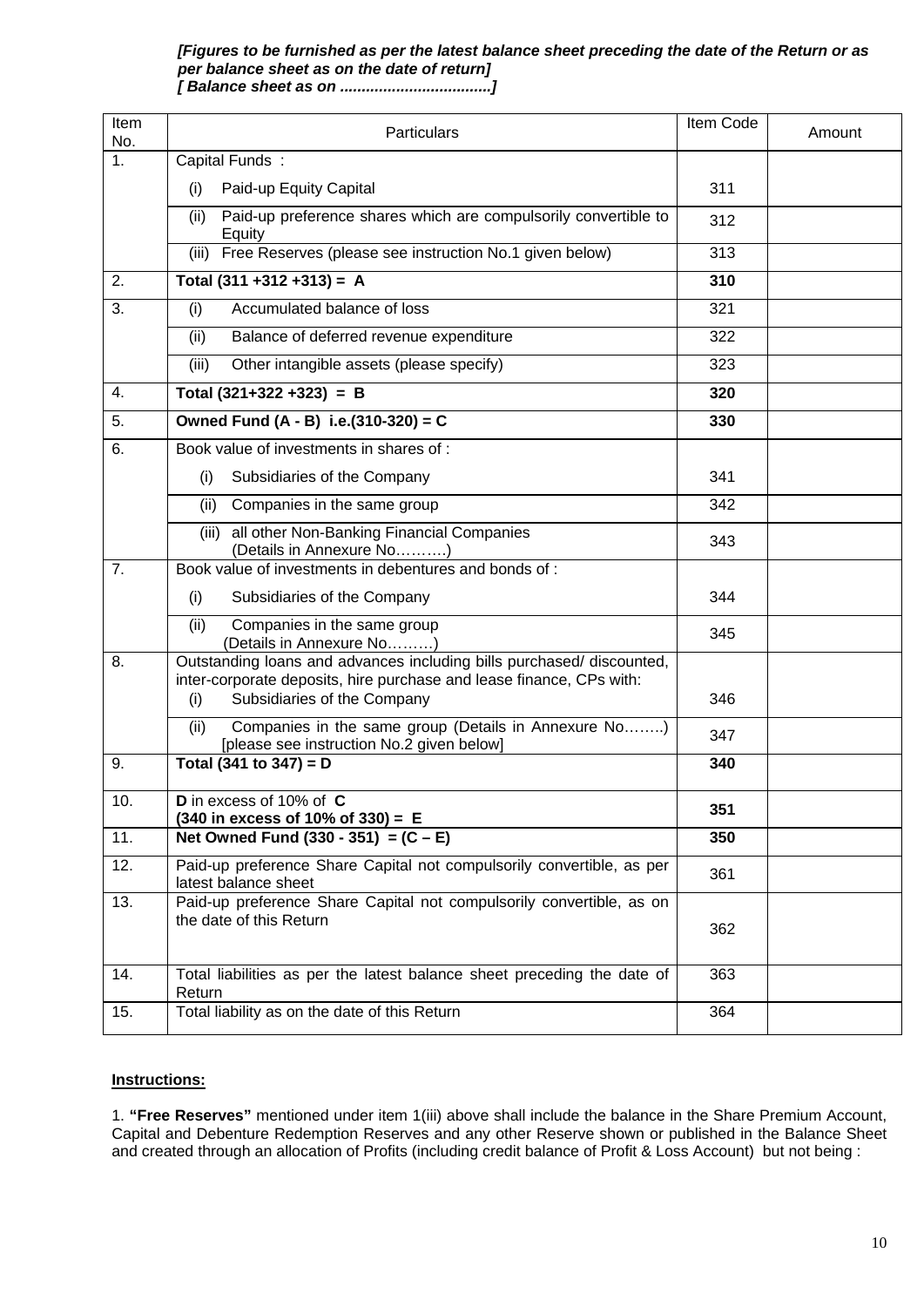#### *[Figures to be furnished as per the latest balance sheet preceding the date of the Return or as per balance sheet as on the date of return] [ Balance sheet as on ...................................]*

| Item<br>No.      | Particulars                                                                                                                                                                         | Item Code | Amount |
|------------------|-------------------------------------------------------------------------------------------------------------------------------------------------------------------------------------|-----------|--------|
| $\overline{1}$ . | Capital Funds:                                                                                                                                                                      |           |        |
|                  | Paid-up Equity Capital<br>(i)                                                                                                                                                       | 311       |        |
|                  | Paid-up preference shares which are compulsorily convertible to<br>(ii)<br>Equity                                                                                                   | 312       |        |
|                  | (iii) Free Reserves (please see instruction No.1 given below)                                                                                                                       | 313       |        |
| 2.               | Total $(311 + 312 + 313) = A$                                                                                                                                                       | 310       |        |
| 3.               | Accumulated balance of loss<br>(i)                                                                                                                                                  | 321       |        |
|                  | Balance of deferred revenue expenditure<br>(ii)                                                                                                                                     | 322       |        |
|                  | (iii)<br>Other intangible assets (please specify)                                                                                                                                   | 323       |        |
| 4.               | Total $(321+322+323) = B$                                                                                                                                                           | 320       |        |
| 5.               | Owned Fund (A - B) i.e.(310-320) = C                                                                                                                                                | 330       |        |
| 6.               | Book value of investments in shares of :                                                                                                                                            |           |        |
|                  | Subsidiaries of the Company<br>(i)                                                                                                                                                  | 341       |        |
|                  | Companies in the same group<br>(ii)                                                                                                                                                 | 342       |        |
|                  | all other Non-Banking Financial Companies<br>(iii)<br>(Details in Annexure No)                                                                                                      | 343       |        |
| 7.               | Book value of investments in debentures and bonds of:                                                                                                                               |           |        |
|                  | (i)<br>Subsidiaries of the Company                                                                                                                                                  | 344       |        |
|                  | Companies in the same group<br>(ii)<br>(Details in Annexure No)                                                                                                                     | 345       |        |
| 8.               | Outstanding loans and advances including bills purchased/ discounted,<br>inter-corporate deposits, hire purchase and lease finance, CPs with:<br>Subsidiaries of the Company<br>(i) | 346       |        |
|                  | Companies in the same group (Details in Annexure No)<br>(ii)<br>[please see instruction No.2 given below]                                                                           | 347       |        |
| 9.               | Total (341 to 347) = $D$                                                                                                                                                            | 340       |        |
| 10.              | D in excess of 10% of C<br>$(340$ in excess of 10% of 330) = E                                                                                                                      | 351       |        |
| 11.              | Net Owned Fund $(330 - 351) = (C - E)$                                                                                                                                              | 350       |        |
| 12.              | Paid-up preference Share Capital not compulsorily convertible, as per<br>latest balance sheet                                                                                       | 361       |        |
| 13.              | Paid-up preference Share Capital not compulsorily convertible, as on<br>the date of this Return                                                                                     | 362       |        |
| 14.              | Total liabilities as per the latest balance sheet preceding the date of<br>Return                                                                                                   | 363       |        |
| 15.              | Total liability as on the date of this Return                                                                                                                                       | 364       |        |

#### **Instructions:**

1. **"Free Reserves"** mentioned under item 1(iii) above shall include the balance in the Share Premium Account, Capital and Debenture Redemption Reserves and any other Reserve shown or published in the Balance Sheet and created through an allocation of Profits (including credit balance of Profit & Loss Account) but not being :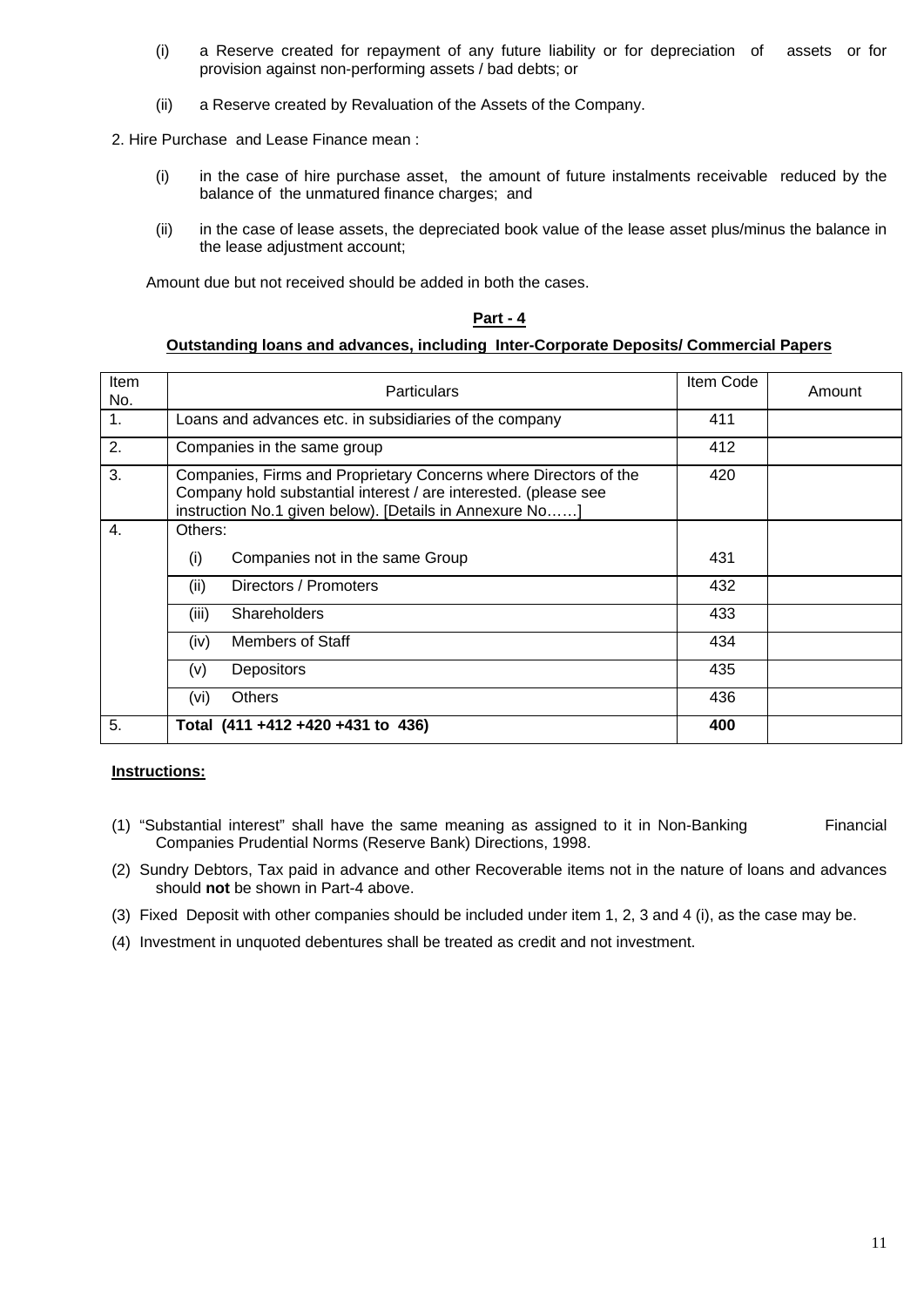- (i) a Reserve created for repayment of any future liability or for depreciation of assets or for provision against non-performing assets / bad debts; or
- (ii) a Reserve created by Revaluation of the Assets of the Company.

2. Hire Purchase and Lease Finance mean :

- (i) in the case of hire purchase asset, the amount of future instalments receivable reduced by the balance of the unmatured finance charges; and
- (ii) in the case of lease assets, the depreciated book value of the lease asset plus/minus the balance in the lease adjustment account;

Amount due but not received should be added in both the cases.

#### **Part - 4**

#### **Outstanding loans and advances, including Inter-Corporate Deposits/ Commercial Papers**

| Item<br>No. | <b>Particulars</b>                                                                                                                                                                             | Item Code | Amount |
|-------------|------------------------------------------------------------------------------------------------------------------------------------------------------------------------------------------------|-----------|--------|
| 1.          | Loans and advances etc. in subsidiaries of the company                                                                                                                                         | 411       |        |
| 2.          | Companies in the same group                                                                                                                                                                    | 412       |        |
| 3.          | Companies, Firms and Proprietary Concerns where Directors of the<br>Company hold substantial interest / are interested. (please see<br>instruction No.1 given below). [Details in Annexure No] | 420       |        |
| 4.          | Others:                                                                                                                                                                                        |           |        |
|             | Companies not in the same Group<br>(i)                                                                                                                                                         | 431       |        |
|             | (ii)<br>Directors / Promoters                                                                                                                                                                  | 432       |        |
|             | Shareholders<br>(iii)                                                                                                                                                                          | 433       |        |
|             | Members of Staff<br>(iv)                                                                                                                                                                       | 434       |        |
|             | Depositors<br>(v)                                                                                                                                                                              | 435       |        |
|             | <b>Others</b><br>(vi)                                                                                                                                                                          | 436       |        |
| 5.          | Total (411 +412 +420 +431 to 436)                                                                                                                                                              | 400       |        |

#### **Instructions:**

- (1) "Substantial interest" shall have the same meaning as assigned to it in Non-Banking Financial Companies Prudential Norms (Reserve Bank) Directions, 1998.
- (2) Sundry Debtors, Tax paid in advance and other Recoverable items not in the nature of loans and advances should **not** be shown in Part-4 above.
- (3) Fixed Deposit with other companies should be included under item 1, 2, 3 and 4 (i), as the case may be.
- (4) Investment in unquoted debentures shall be treated as credit and not investment.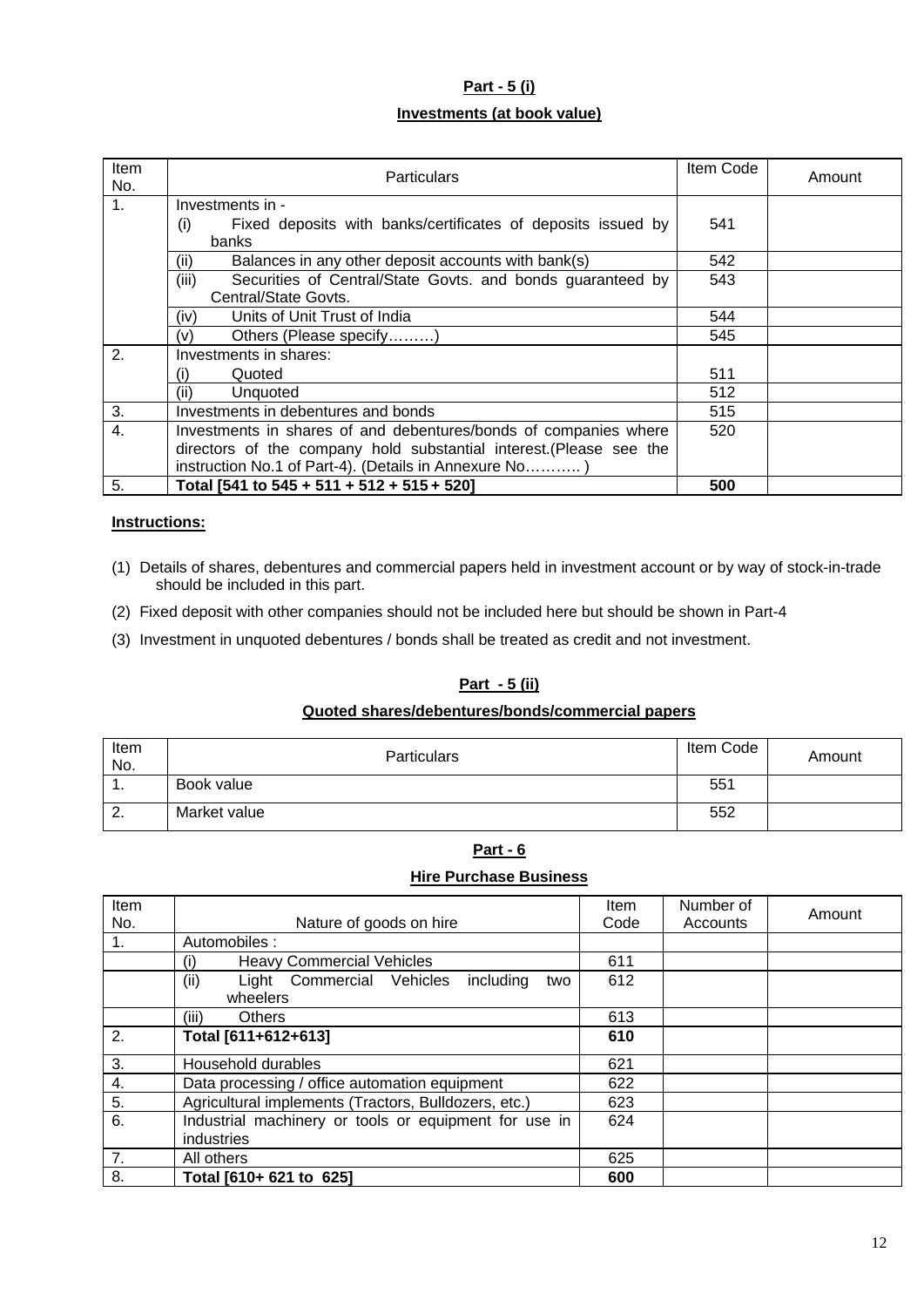## **Part - 5 (i) Investments (at book value)**

| Item<br>No.    | Particulars                                                         | Item Code | Amount |
|----------------|---------------------------------------------------------------------|-----------|--------|
| 1 <sub>1</sub> | Investments in -                                                    |           |        |
|                | Fixed deposits with banks/certificates of deposits issued by<br>(i) | 541       |        |
|                | banks                                                               |           |        |
|                | Balances in any other deposit accounts with bank(s)<br>(ii)         | 542       |        |
|                | (iii)<br>Securities of Central/State Govts. and bonds guaranteed by | 543       |        |
|                | Central/State Govts.                                                |           |        |
|                | Units of Unit Trust of India<br>(iv)                                | 544       |        |
|                | Others (Please specify)<br>(v)                                      | 545       |        |
| 2.             | Investments in shares:                                              |           |        |
|                | Quoted<br>(i)                                                       | 511       |        |
|                | (ii)<br>Unquoted                                                    | 512       |        |
| 3.             | Investments in debentures and bonds                                 | 515       |        |
| 4.             | Investments in shares of and debentures/bonds of companies where    | 520       |        |
|                | directors of the company hold substantial interest. (Please see the |           |        |
|                | instruction No.1 of Part-4). (Details in Annexure No)               |           |        |
| 5.             | Total [541 to 545 + 511 + 512 + 515 + 520]                          | 500       |        |

### **Instructions:**

- (1) Details of shares, debentures and commercial papers held in investment account or by way of stock-in-trade should be included in this part.
- (2) Fixed deposit with other companies should not be included here but should be shown in Part-4
- (3) Investment in unquoted debentures / bonds shall be treated as credit and not investment.

#### **Part - 5 (ii)**

#### **Quoted shares/debentures/bonds/commercial papers**

| Item<br>No.   | <b>Particulars</b> | Item Code | Amount |
|---------------|--------------------|-----------|--------|
| .             | Book value         | 551       |        |
| ົ<br><u>.</u> | Market value       | 552       |        |

## **Part - 6**

#### **Hire Purchase Business**

| Item |                                                       | <b>Item</b> | Number of | Amount |
|------|-------------------------------------------------------|-------------|-----------|--------|
| No.  | Nature of goods on hire                               | Code        | Accounts  |        |
| 1.   | Automobiles:                                          |             |           |        |
|      | <b>Heavy Commercial Vehicles</b><br>(i)               | 611         |           |        |
|      | (ii)<br>Light Commercial Vehicles<br>including<br>two | 612         |           |        |
|      | wheelers                                              |             |           |        |
|      | <b>Others</b><br>(iii)                                | 613         |           |        |
| 2.   | Total [611+612+613]                                   | 610         |           |        |
| 3.   | Household durables                                    | 621         |           |        |
| 4.   | Data processing / office automation equipment         | 622         |           |        |
| 5.   | Agricultural implements (Tractors, Bulldozers, etc.)  | 623         |           |        |
| 6.   | Industrial machinery or tools or equipment for use in | 624         |           |        |
|      | industries                                            |             |           |        |
| 7.   | All others                                            | 625         |           |        |
| 8.   | Total [610+ 621 to 625]                               | 600         |           |        |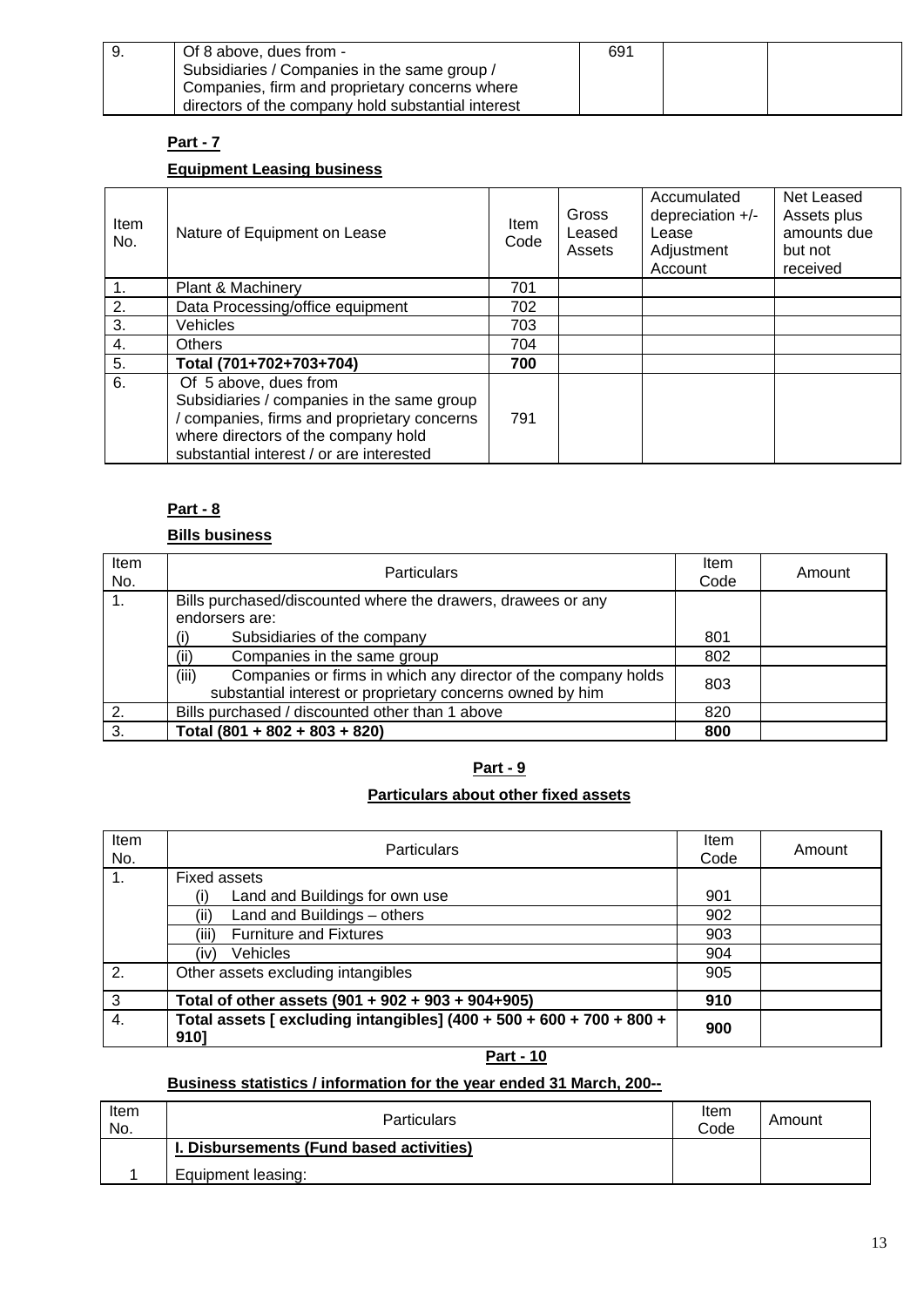| 9. | Of 8 above, dues from -                            | 691 |  |
|----|----------------------------------------------------|-----|--|
|    | Subsidiaries / Companies in the same group /       |     |  |
|    | Companies, firm and proprietary concerns where     |     |  |
|    | directors of the company hold substantial interest |     |  |

## **Part - 7**

## **Equipment Leasing business**

| Item<br>No. | Nature of Equipment on Lease                                                                                                                                                                        | <b>Item</b><br>Code | Gross<br>Leased<br>Assets | Accumulated<br>depreciation +/-<br>Lease<br>Adjustment<br>Account | Net Leased<br>Assets plus<br>amounts due<br>but not<br>received |
|-------------|-----------------------------------------------------------------------------------------------------------------------------------------------------------------------------------------------------|---------------------|---------------------------|-------------------------------------------------------------------|-----------------------------------------------------------------|
| 1.          | Plant & Machinery                                                                                                                                                                                   | 701                 |                           |                                                                   |                                                                 |
| 2.          | Data Processing/office equipment                                                                                                                                                                    | 702                 |                           |                                                                   |                                                                 |
| 3.          | Vehicles                                                                                                                                                                                            | 703                 |                           |                                                                   |                                                                 |
| 4.          | <b>Others</b>                                                                                                                                                                                       | 704                 |                           |                                                                   |                                                                 |
| 5.          | Total (701+702+703+704)                                                                                                                                                                             | 700                 |                           |                                                                   |                                                                 |
| 6.          | Of 5 above, dues from<br>Subsidiaries / companies in the same group<br>companies, firms and proprietary concerns<br>where directors of the company hold<br>substantial interest / or are interested | 791                 |                           |                                                                   |                                                                 |

### **Part - 8**

### **Bills business**

| Item<br>No. | <b>Particulars</b>                                                                                                                  | Item<br>Code | Amount |
|-------------|-------------------------------------------------------------------------------------------------------------------------------------|--------------|--------|
|             | Bills purchased/discounted where the drawers, drawees or any                                                                        |              |        |
|             | endorsers are:                                                                                                                      |              |        |
|             | Subsidiaries of the company<br>(i)                                                                                                  | 801          |        |
|             | Companies in the same group<br>(ii)                                                                                                 | 802          |        |
|             | Companies or firms in which any director of the company holds<br>(iii)<br>substantial interest or proprietary concerns owned by him | 803          |        |
| 2.          | Bills purchased / discounted other than 1 above                                                                                     | 820          |        |
| 3.          | Total $(801 + 802 + 803 + 820)$                                                                                                     | 800          |        |

## **Part - 9**

## **Particulars about other fixed assets**

| Item<br>No. | <b>Particulars</b>                                                           | Item<br>Code | Amount |
|-------------|------------------------------------------------------------------------------|--------------|--------|
| $1_{\cdot}$ | Fixed assets                                                                 |              |        |
|             | Land and Buildings for own use                                               | 901          |        |
|             | Land and Buildings - others<br>(ii)                                          | 902          |        |
|             | <b>Furniture and Fixtures</b><br>(iii)                                       | 903          |        |
|             | Vehicles<br>(iv)                                                             | 904          |        |
| 2.          | Other assets excluding intangibles                                           | 905          |        |
| 3           | Total of other assets (901 + 902 + 903 + 904+905)                            | 910          |        |
| 4.          | Total assets [ excluding intangibles] (400 + 500 + 600 + 700 + 800 +<br>9101 | 900          |        |

**Part - 10**

## **Business statistics / information for the year ended 31 March, 200--**

| Item<br>No. | <b>Particulars</b>                       | Item<br>Code | Amount |
|-------------|------------------------------------------|--------------|--------|
|             | I. Disbursements (Fund based activities) |              |        |
|             | Equipment leasing:                       |              |        |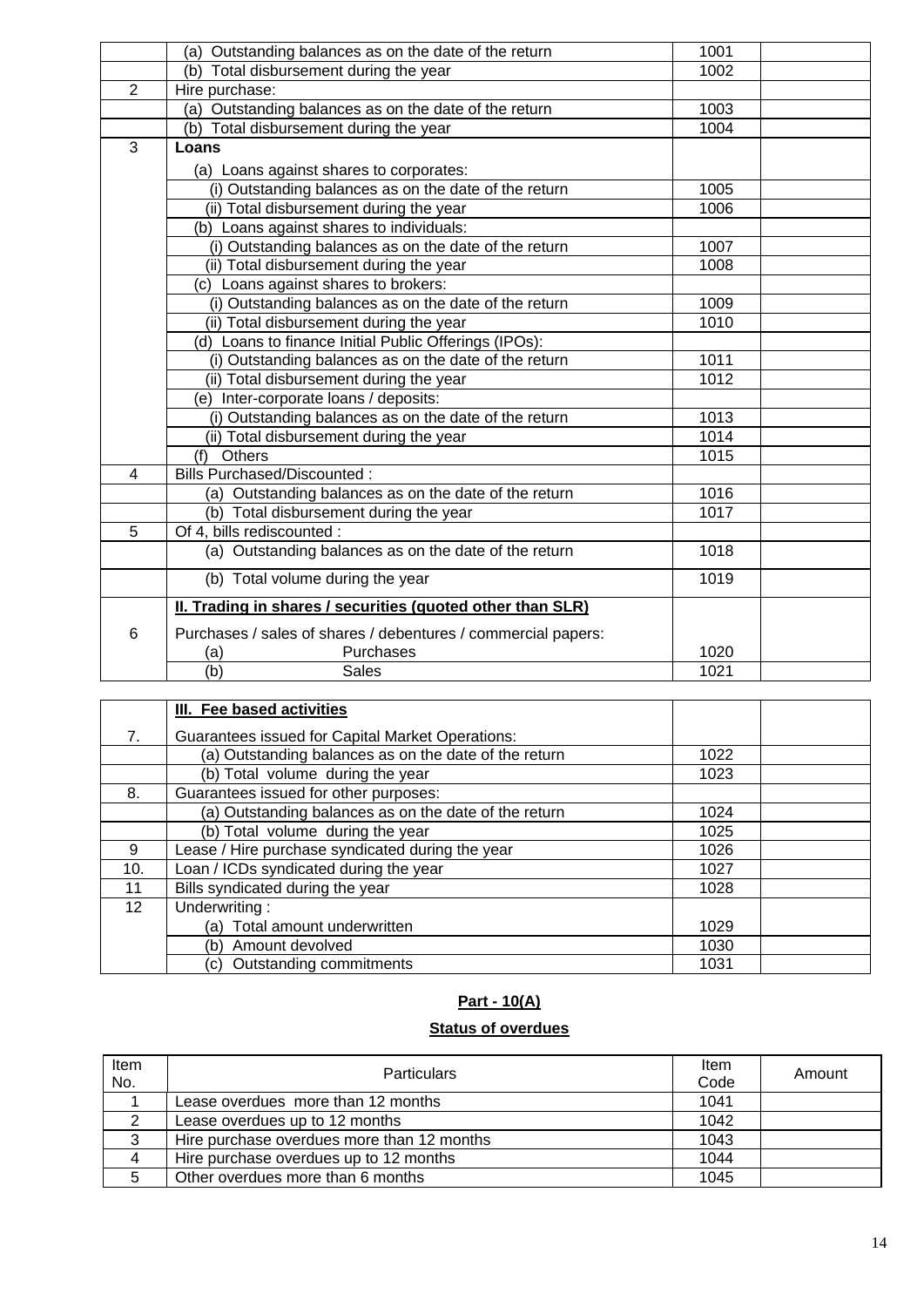|                | (a) Outstanding balances as on the date of the return         | 1001 |  |
|----------------|---------------------------------------------------------------|------|--|
|                | (b) Total disbursement during the year                        | 1002 |  |
| 2              | Hire purchase:                                                |      |  |
|                | (a) Outstanding balances as on the date of the return         | 1003 |  |
|                | (b) Total disbursement during the year                        | 1004 |  |
| 3              | Loans                                                         |      |  |
|                | (a) Loans against shares to corporates:                       |      |  |
|                | (i) Outstanding balances as on the date of the return         | 1005 |  |
|                | (ii) Total disbursement during the year                       | 1006 |  |
|                | (b) Loans against shares to individuals:                      |      |  |
|                | (i) Outstanding balances as on the date of the return         | 1007 |  |
|                | (ii) Total disbursement during the year                       | 1008 |  |
|                | (c) Loans against shares to brokers:                          |      |  |
|                | (i) Outstanding balances as on the date of the return         | 1009 |  |
|                | (ii) Total disbursement during the year                       | 1010 |  |
|                | (d) Loans to finance Initial Public Offerings (IPOs):         |      |  |
|                | (i) Outstanding balances as on the date of the return         | 1011 |  |
|                | (ii) Total disbursement during the year                       | 1012 |  |
|                | (e) Inter-corporate loans / deposits:                         |      |  |
|                | (i) Outstanding balances as on the date of the return         | 1013 |  |
|                | (ii) Total disbursement during the year                       | 1014 |  |
|                | (f) Others                                                    | 1015 |  |
| $\overline{4}$ | <b>Bills Purchased/Discounted:</b>                            |      |  |
|                | (a) Outstanding balances as on the date of the return         | 1016 |  |
|                | (b) Total disbursement during the year                        | 1017 |  |
| 5              | Of 4, bills rediscounted :                                    |      |  |
|                | (a) Outstanding balances as on the date of the return         | 1018 |  |
|                | (b) Total volume during the year                              | 1019 |  |
|                | II. Trading in shares / securities (quoted other than SLR)    |      |  |
| 6              | Purchases / sales of shares / debentures / commercial papers: |      |  |
|                | Purchases<br>(a)                                              | 1020 |  |
|                | (b)<br><b>Sales</b>                                           | 1021 |  |
|                |                                                               |      |  |

|     | III. Fee based activities                               |      |  |
|-----|---------------------------------------------------------|------|--|
| 7.  | <b>Guarantees issued for Capital Market Operations:</b> |      |  |
|     | (a) Outstanding balances as on the date of the return   | 1022 |  |
|     | (b) Total volume during the year                        | 1023 |  |
| 8.  | Guarantees issued for other purposes:                   |      |  |
|     | (a) Outstanding balances as on the date of the return   | 1024 |  |
|     | (b) Total volume during the year                        | 1025 |  |
| 9   | Lease / Hire purchase syndicated during the year        | 1026 |  |
| 10. | Loan / ICDs syndicated during the year                  | 1027 |  |
| 11  | Bills syndicated during the year                        | 1028 |  |
| 12  | Underwriting:                                           |      |  |
|     | (a) Total amount underwritten                           | 1029 |  |
|     | (b) Amount devolved                                     | 1030 |  |
|     | (c) Outstanding commitments                             | 1031 |  |

# **Part - 10(A)**

## **Status of overdues**

| Item<br>No. | <b>Particulars</b>                         | Item<br>Code | Amount |
|-------------|--------------------------------------------|--------------|--------|
|             | Lease overdues more than 12 months         | 1041         |        |
|             | Lease overdues up to 12 months             | 1042         |        |
| 3           | Hire purchase overdues more than 12 months | 1043         |        |
| 4           | Hire purchase overdues up to 12 months     | 1044         |        |
|             | Other overdues more than 6 months          | 1045         |        |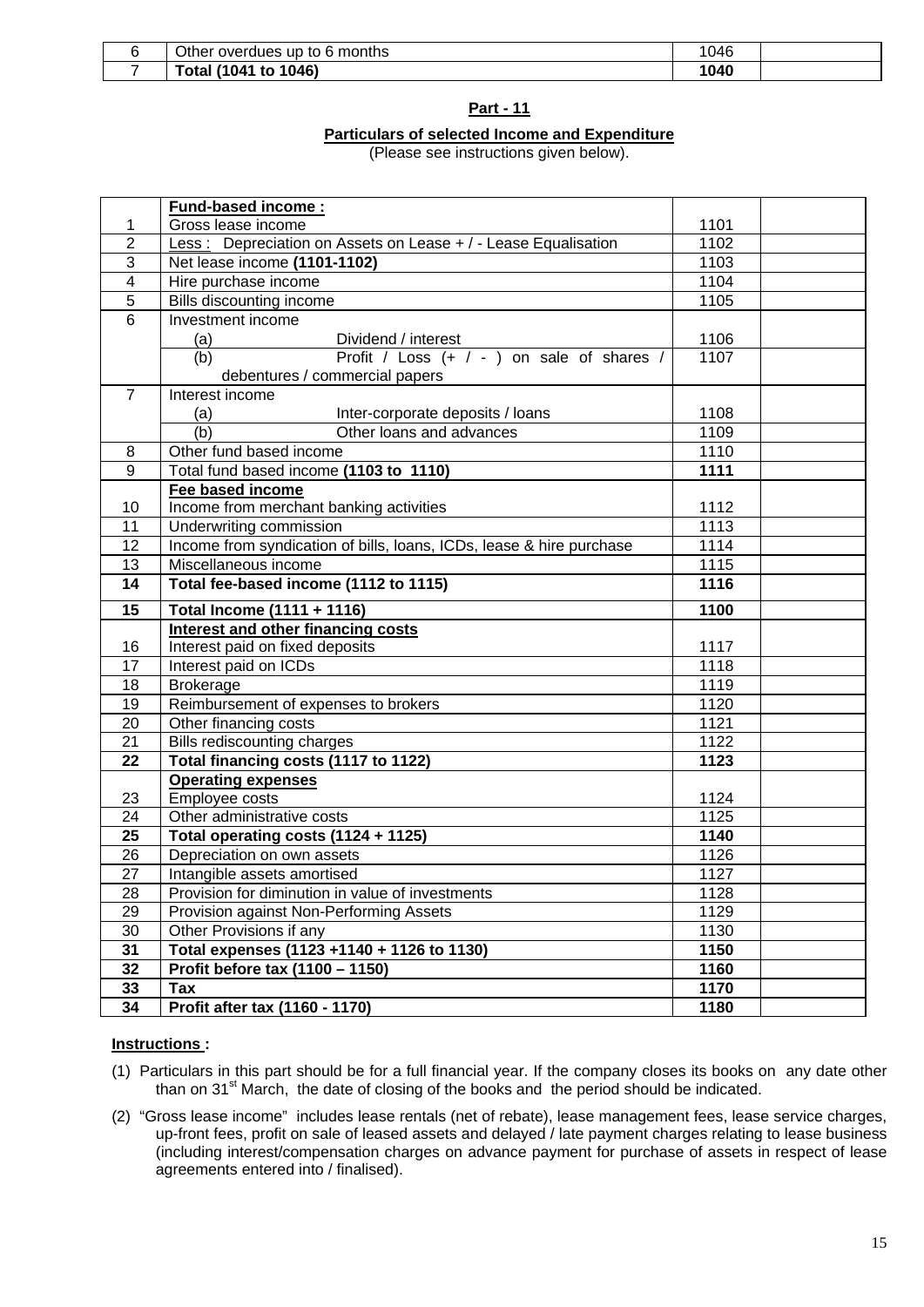| Other overdues up to 6 months | 046  |  |
|-------------------------------|------|--|
| 1041) ،<br>to 1046)<br>'otal  | 1040 |  |

#### **Part - 11**

#### **Particulars of selected Income and Expenditure**

(Please see instructions given below).

|                | <b>Fund-based income:</b>                                            |      |  |
|----------------|----------------------------------------------------------------------|------|--|
| 1              | Gross lease income                                                   | 1101 |  |
| $\overline{2}$ | Less: Depreciation on Assets on Lease + / - Lease Equalisation       | 1102 |  |
| 3              | Net lease income (1101-1102)                                         | 1103 |  |
| 4              | Hire purchase income                                                 | 1104 |  |
| 5              | Bills discounting income                                             | 1105 |  |
| $\overline{6}$ | Investment income                                                    |      |  |
|                | (a)<br>Dividend / interest                                           | 1106 |  |
|                | Profit / Loss (+ / - ) on sale of shares /<br>(b)                    | 1107 |  |
|                | debentures / commercial papers                                       |      |  |
| $\overline{7}$ | Interest income                                                      |      |  |
|                | (a)<br>Inter-corporate deposits / loans                              | 1108 |  |
|                | (b)<br>Other loans and advances                                      | 1109 |  |
| 8              | Other fund based income                                              | 1110 |  |
| 9              | Total fund based income (1103 to 1110)                               | 1111 |  |
|                | Fee based income                                                     |      |  |
| 10             | Income from merchant banking activities                              | 1112 |  |
| 11             | Underwriting commission                                              | 1113 |  |
| 12             | Income from syndication of bills, loans, ICDs, lease & hire purchase | 1114 |  |
| 13             | Miscellaneous income                                                 | 1115 |  |
| 14             | Total fee-based income (1112 to 1115)                                | 1116 |  |
| 15             | Total Income (1111 + 1116)                                           | 1100 |  |
|                | Interest and other financing costs                                   |      |  |
| 16             | Interest paid on fixed deposits                                      | 1117 |  |
| 17             | Interest paid on ICDs                                                | 1118 |  |
| 18             | <b>Brokerage</b>                                                     | 1119 |  |
| 19             | Reimbursement of expenses to brokers                                 | 1120 |  |
| 20             | Other financing costs                                                | 1121 |  |
| 21             | Bills rediscounting charges                                          | 1122 |  |
| 22             | Total financing costs (1117 to 1122)                                 | 1123 |  |
|                | <b>Operating expenses</b>                                            |      |  |
| 23             | Employee costs                                                       | 1124 |  |
| 24             | Other administrative costs                                           | 1125 |  |
| 25             | Total operating costs (1124 + 1125)                                  | 1140 |  |
| 26             | Depreciation on own assets                                           | 1126 |  |
| 27             | Intangible assets amortised                                          | 1127 |  |
| 28             | Provision for diminution in value of investments                     | 1128 |  |
| 29             | Provision against Non-Performing Assets                              | 1129 |  |
| 30             | Other Provisions if any                                              | 1130 |  |
| 31             | Total expenses (1123 +1140 + 1126 to 1130)                           | 1150 |  |
| 32             | Profit before tax (1100 - 1150)                                      | 1160 |  |
| 33             | Tax                                                                  | 1170 |  |
| 34             | Profit after tax (1160 - 1170)                                       | 1180 |  |

#### **Instructions :**

- (1) Particulars in this part should be for a full financial year. If the company closes its books on any date other than on  $31^{st}$  March, the date of closing of the books and the period should be indicated.
- (2) "Gross lease income" includes lease rentals (net of rebate), lease management fees, lease service charges, up-front fees, profit on sale of leased assets and delayed / late payment charges relating to lease business (including interest/compensation charges on advance payment for purchase of assets in respect of lease agreements entered into / finalised).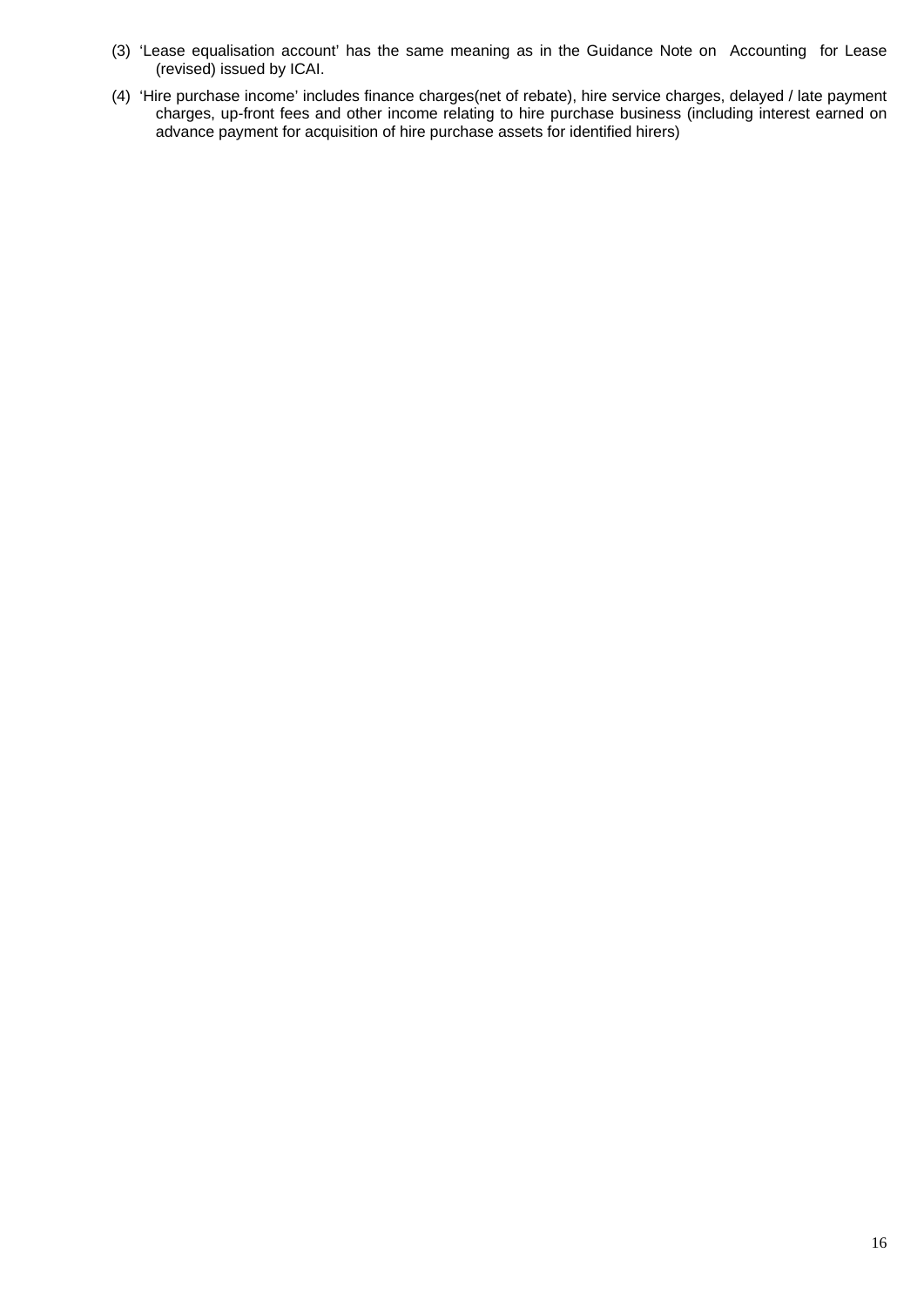- (3) 'Lease equalisation account' has the same meaning as in the Guidance Note on Accounting for Lease (revised) issued by ICAI.
- (4) 'Hire purchase income' includes finance charges(net of rebate), hire service charges, delayed / late payment charges, up-front fees and other income relating to hire purchase business (including interest earned on advance payment for acquisition of hire purchase assets for identified hirers)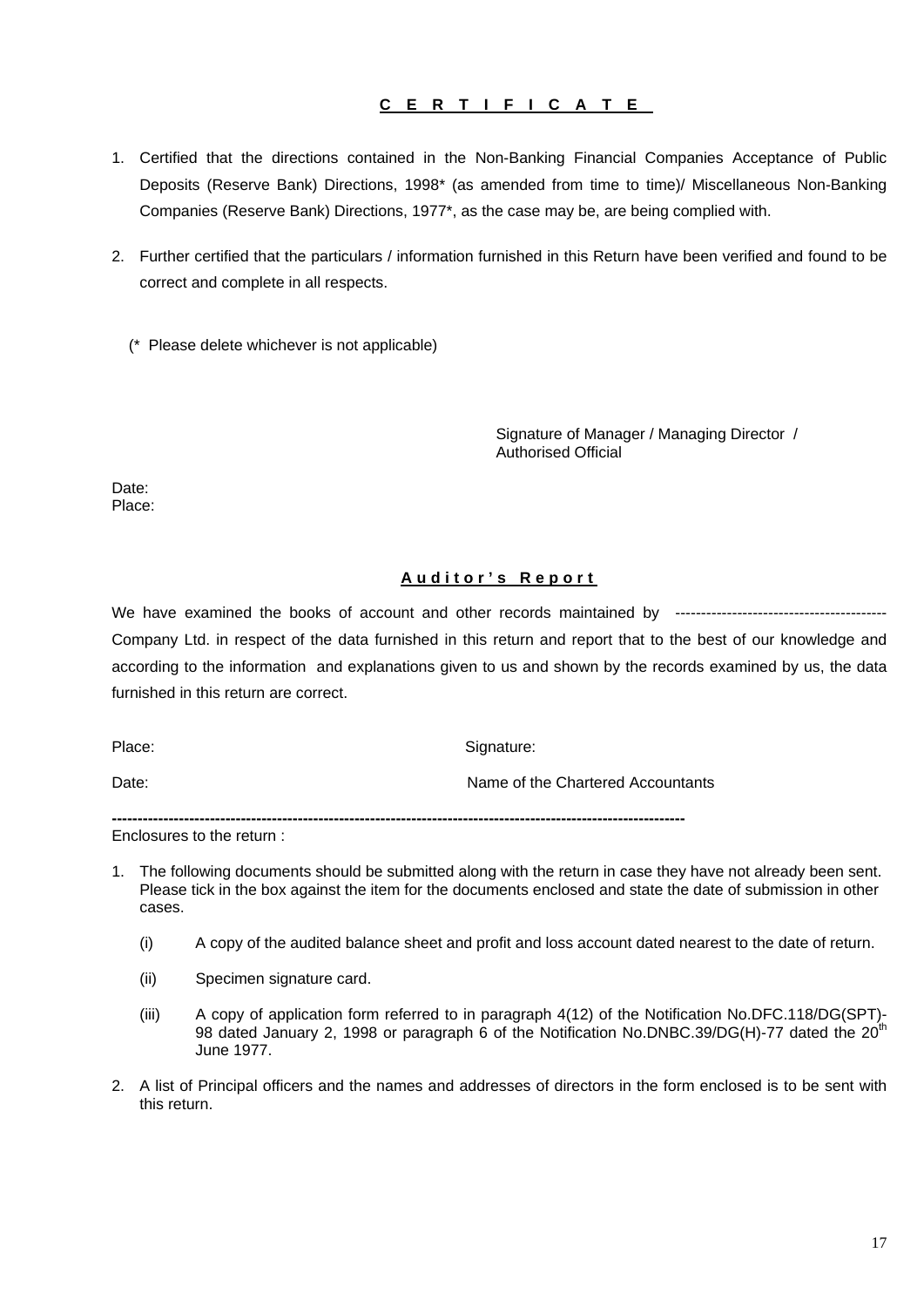## **CERTIFICATE**

- 1. Certified that the directions contained in the Non-Banking Financial Companies Acceptance of Public Deposits (Reserve Bank) Directions, 1998\* (as amended from time to time)/ Miscellaneous Non-Banking Companies (Reserve Bank) Directions, 1977\*, as the case may be, are being complied with.
- 2. Further certified that the particulars / information furnished in this Return have been verified and found to be correct and complete in all respects.

(\* Please delete whichever is not applicable)

Signature of Manager / Managing Director / Authorised Official

Date: Place:

## **Auditor's Report**

We have examined the books of account and other records maintained by ------------------------Company Ltd. in respect of the data furnished in this return and report that to the best of our knowledge and according to the information and explanations given to us and shown by the records examined by us, the data furnished in this return are correct.

Place: Signature: Signature: Signature: Signature: Signature: Signature: Signature: Signature: Signature: Signature: Signature: Signature: Signature: Signature: Signature: Signature: Signature: Signature: Signature: Signat

Date: Name of the Chartered Accountants

**---------------------------------------------------------------------------------------------------------------** 

Enclosures to the return :

- 1. The following documents should be submitted along with the return in case they have not already been sent. Please tick in the box against the item for the documents enclosed and state the date of submission in other cases.
	- (i) A copy of the audited balance sheet and profit and loss account dated nearest to the date of return.
	- (ii) Specimen signature card.
	- (iii) A copy of application form referred to in paragraph 4(12) of the Notification No.DFC.118/DG(SPT)- 98 dated January 2, 1998 or paragraph 6 of the Notification No.DNBC.39/DG(H)-77 dated the 20<sup>th</sup> June 1977.
- 2. A list of Principal officers and the names and addresses of directors in the form enclosed is to be sent with this return.